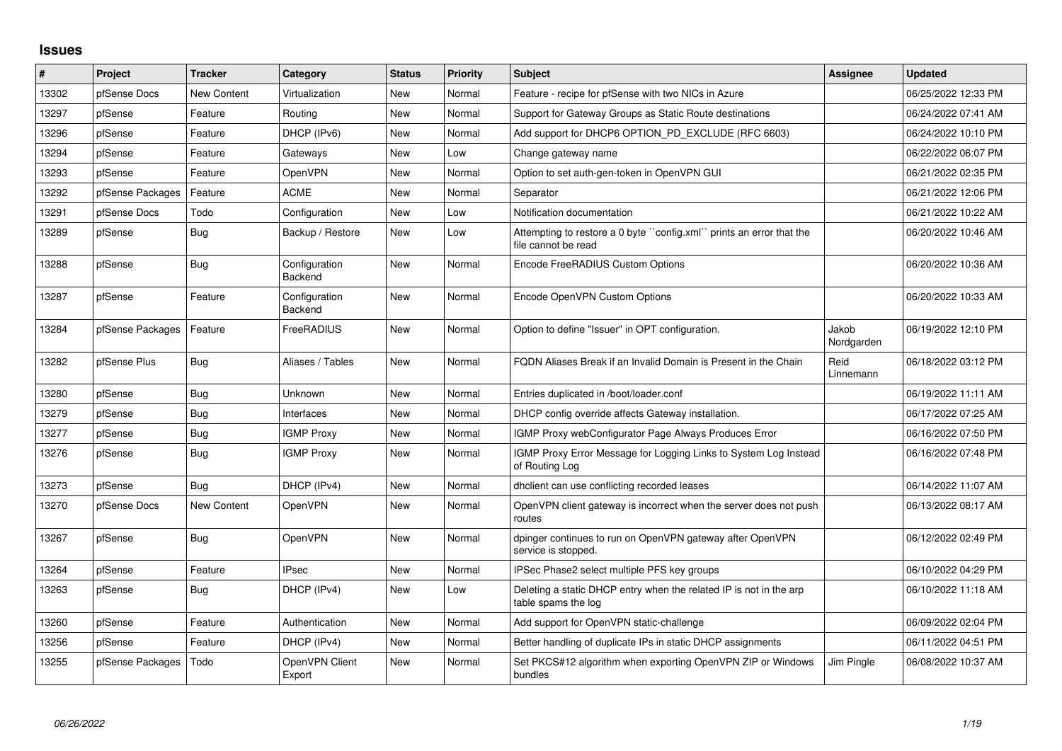## **Issues**

| ∦     | Project          | <b>Tracker</b> | Category                 | <b>Status</b> | <b>Priority</b> | <b>Subject</b>                                                                              | Assignee            | <b>Updated</b>      |
|-------|------------------|----------------|--------------------------|---------------|-----------------|---------------------------------------------------------------------------------------------|---------------------|---------------------|
| 13302 | pfSense Docs     | New Content    | Virtualization           | <b>New</b>    | Normal          | Feature - recipe for pfSense with two NICs in Azure                                         |                     | 06/25/2022 12:33 PM |
| 13297 | pfSense          | Feature        | Routing                  | New           | Normal          | Support for Gateway Groups as Static Route destinations                                     |                     | 06/24/2022 07:41 AM |
| 13296 | pfSense          | Feature        | DHCP (IPv6)              | New           | Normal          | Add support for DHCP6 OPTION_PD_EXCLUDE (RFC 6603)                                          |                     | 06/24/2022 10:10 PM |
| 13294 | pfSense          | Feature        | Gateways                 | <b>New</b>    | Low             | Change gateway name                                                                         |                     | 06/22/2022 06:07 PM |
| 13293 | pfSense          | Feature        | OpenVPN                  | New           | Normal          | Option to set auth-gen-token in OpenVPN GUI                                                 |                     | 06/21/2022 02:35 PM |
| 13292 | pfSense Packages | Feature        | <b>ACME</b>              | <b>New</b>    | Normal          | Separator                                                                                   |                     | 06/21/2022 12:06 PM |
| 13291 | pfSense Docs     | Todo           | Configuration            | New           | Low             | Notification documentation                                                                  |                     | 06/21/2022 10:22 AM |
| 13289 | pfSense          | <b>Bug</b>     | Backup / Restore         | <b>New</b>    | Low             | Attempting to restore a 0 byte "config.xml" prints an error that the<br>file cannot be read |                     | 06/20/2022 10:46 AM |
| 13288 | pfSense          | Bug            | Configuration<br>Backend | New           | Normal          | Encode FreeRADIUS Custom Options                                                            |                     | 06/20/2022 10:36 AM |
| 13287 | pfSense          | Feature        | Configuration<br>Backend | New           | Normal          | Encode OpenVPN Custom Options                                                               |                     | 06/20/2022 10:33 AM |
| 13284 | pfSense Packages | Feature        | FreeRADIUS               | <b>New</b>    | Normal          | Option to define "Issuer" in OPT configuration.                                             | Jakob<br>Nordgarden | 06/19/2022 12:10 PM |
| 13282 | pfSense Plus     | <b>Bug</b>     | Aliases / Tables         | <b>New</b>    | Normal          | FQDN Aliases Break if an Invalid Domain is Present in the Chain                             | Reid<br>Linnemann   | 06/18/2022 03:12 PM |
| 13280 | pfSense          | Bug            | Unknown                  | <b>New</b>    | Normal          | Entries duplicated in /boot/loader.conf                                                     |                     | 06/19/2022 11:11 AM |
| 13279 | pfSense          | Bug            | Interfaces               | <b>New</b>    | Normal          | DHCP config override affects Gateway installation.                                          |                     | 06/17/2022 07:25 AM |
| 13277 | pfSense          | Bug            | <b>IGMP Proxy</b>        | New           | Normal          | IGMP Proxy webConfigurator Page Always Produces Error                                       |                     | 06/16/2022 07:50 PM |
| 13276 | pfSense          | Bug            | <b>IGMP Proxy</b>        | New           | Normal          | IGMP Proxy Error Message for Logging Links to System Log Instead<br>of Routing Log          |                     | 06/16/2022 07:48 PM |
| 13273 | pfSense          | Bug            | DHCP (IPv4)              | <b>New</b>    | Normal          | dhclient can use conflicting recorded leases                                                |                     | 06/14/2022 11:07 AM |
| 13270 | pfSense Docs     | New Content    | OpenVPN                  | New           | Normal          | OpenVPN client gateway is incorrect when the server does not push<br>routes                 |                     | 06/13/2022 08:17 AM |
| 13267 | pfSense          | Bug            | <b>OpenVPN</b>           | <b>New</b>    | Normal          | dpinger continues to run on OpenVPN gateway after OpenVPN<br>service is stopped.            |                     | 06/12/2022 02:49 PM |
| 13264 | pfSense          | Feature        | <b>IPsec</b>             | New           | Normal          | IPSec Phase2 select multiple PFS key groups                                                 |                     | 06/10/2022 04:29 PM |
| 13263 | pfSense          | Bug            | DHCP (IPv4)              | New           | Low             | Deleting a static DHCP entry when the related IP is not in the arp<br>table spams the log   |                     | 06/10/2022 11:18 AM |
| 13260 | pfSense          | Feature        | Authentication           | New           | Normal          | Add support for OpenVPN static-challenge                                                    |                     | 06/09/2022 02:04 PM |
| 13256 | pfSense          | Feature        | DHCP (IPv4)              | New           | Normal          | Better handling of duplicate IPs in static DHCP assignments                                 |                     | 06/11/2022 04:51 PM |
| 13255 | pfSense Packages | Todo           | OpenVPN Client<br>Export | New           | Normal          | Set PKCS#12 algorithm when exporting OpenVPN ZIP or Windows<br>bundles                      | Jim Pingle          | 06/08/2022 10:37 AM |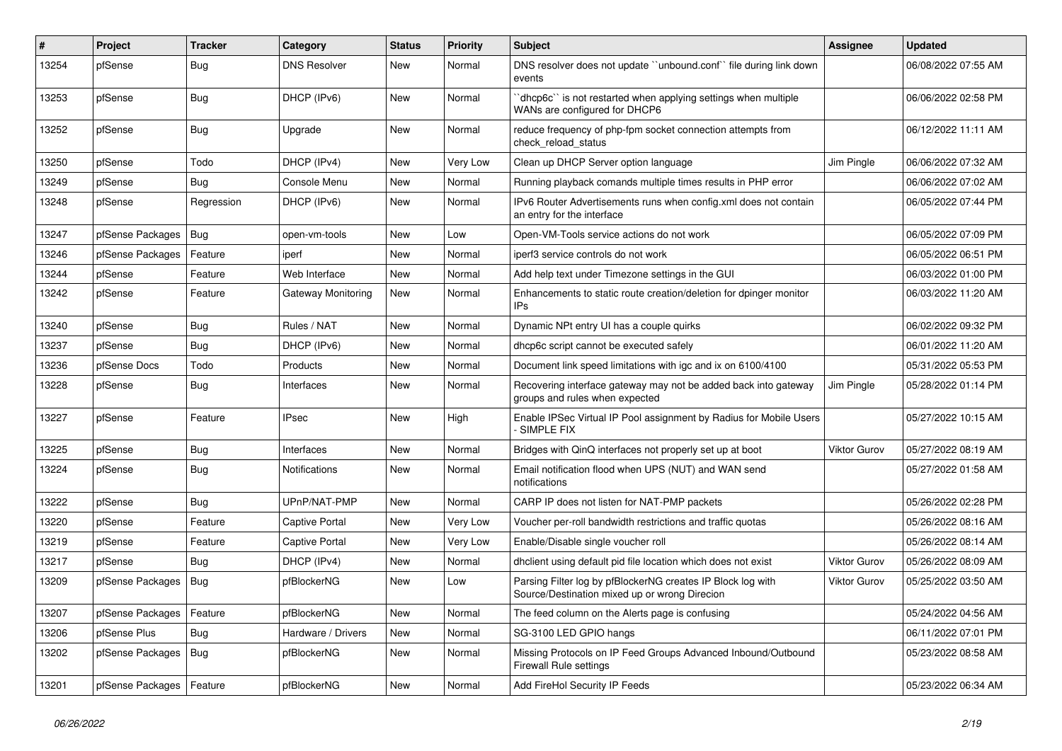| $\#$  | Project                | <b>Tracker</b> | Category            | <b>Status</b> | Priority | Subject                                                                                                      | Assignee            | <b>Updated</b>      |
|-------|------------------------|----------------|---------------------|---------------|----------|--------------------------------------------------------------------------------------------------------------|---------------------|---------------------|
| 13254 | pfSense                | <b>Bug</b>     | <b>DNS Resolver</b> | New           | Normal   | DNS resolver does not update "unbound.conf" file during link down<br>events                                  |                     | 06/08/2022 07:55 AM |
| 13253 | pfSense                | <b>Bug</b>     | DHCP (IPv6)         | New           | Normal   | dhcp6c" is not restarted when applying settings when multiple<br>WANs are configured for DHCP6               |                     | 06/06/2022 02:58 PM |
| 13252 | pfSense                | Bug            | Upgrade             | New           | Normal   | reduce frequency of php-fpm socket connection attempts from<br>check reload status                           |                     | 06/12/2022 11:11 AM |
| 13250 | pfSense                | Todo           | DHCP (IPv4)         | New           | Very Low | Clean up DHCP Server option language                                                                         | Jim Pingle          | 06/06/2022 07:32 AM |
| 13249 | pfSense                | <b>Bug</b>     | Console Menu        | New           | Normal   | Running playback comands multiple times results in PHP error                                                 |                     | 06/06/2022 07:02 AM |
| 13248 | pfSense                | Regression     | DHCP (IPv6)         | New           | Normal   | IPv6 Router Advertisements runs when config.xml does not contain<br>an entry for the interface               |                     | 06/05/2022 07:44 PM |
| 13247 | pfSense Packages       | Bug            | open-vm-tools       | New           | Low      | Open-VM-Tools service actions do not work                                                                    |                     | 06/05/2022 07:09 PM |
| 13246 | pfSense Packages       | Feature        | iperf               | New           | Normal   | iperf3 service controls do not work                                                                          |                     | 06/05/2022 06:51 PM |
| 13244 | pfSense                | Feature        | Web Interface       | <b>New</b>    | Normal   | Add help text under Timezone settings in the GUI                                                             |                     | 06/03/2022 01:00 PM |
| 13242 | pfSense                | Feature        | Gateway Monitoring  | New           | Normal   | Enhancements to static route creation/deletion for dpinger monitor<br>IPs                                    |                     | 06/03/2022 11:20 AM |
| 13240 | pfSense                | <b>Bug</b>     | Rules / NAT         | <b>New</b>    | Normal   | Dynamic NPt entry UI has a couple quirks                                                                     |                     | 06/02/2022 09:32 PM |
| 13237 | pfSense                | Bug            | DHCP (IPv6)         | New           | Normal   | dhcp6c script cannot be executed safely                                                                      |                     | 06/01/2022 11:20 AM |
| 13236 | pfSense Docs           | Todo           | Products            | New           | Normal   | Document link speed limitations with igc and ix on 6100/4100                                                 |                     | 05/31/2022 05:53 PM |
| 13228 | pfSense                | <b>Bug</b>     | Interfaces          | New           | Normal   | Recovering interface gateway may not be added back into gateway<br>groups and rules when expected            | Jim Pingle          | 05/28/2022 01:14 PM |
| 13227 | pfSense                | Feature        | <b>IPsec</b>        | New           | High     | Enable IPSec Virtual IP Pool assignment by Radius for Mobile Users<br>SIMPLE FIX                             |                     | 05/27/2022 10:15 AM |
| 13225 | pfSense                | Bug            | Interfaces          | New           | Normal   | Bridges with QinQ interfaces not properly set up at boot                                                     | <b>Viktor Gurov</b> | 05/27/2022 08:19 AM |
| 13224 | pfSense                | Bug            | Notifications       | New           | Normal   | Email notification flood when UPS (NUT) and WAN send<br>notifications                                        |                     | 05/27/2022 01:58 AM |
| 13222 | pfSense                | <b>Bug</b>     | UPnP/NAT-PMP        | New           | Normal   | CARP IP does not listen for NAT-PMP packets                                                                  |                     | 05/26/2022 02:28 PM |
| 13220 | pfSense                | Feature        | Captive Portal      | New           | Very Low | Voucher per-roll bandwidth restrictions and traffic quotas                                                   |                     | 05/26/2022 08:16 AM |
| 13219 | pfSense                | Feature        | Captive Portal      | New           | Very Low | Enable/Disable single voucher roll                                                                           |                     | 05/26/2022 08:14 AM |
| 13217 | pfSense                | Bug            | DHCP (IPv4)         | <b>New</b>    | Normal   | dhclient using default pid file location which does not exist                                                | <b>Viktor Gurov</b> | 05/26/2022 08:09 AM |
| 13209 | pfSense Packages       | Bug            | pfBlockerNG         | New           | Low      | Parsing Filter log by pfBlockerNG creates IP Block log with<br>Source/Destination mixed up or wrong Direcion | Viktor Gurov        | 05/25/2022 03:50 AM |
| 13207 | pfSense Packages       | Feature        | pfBlockerNG         | New           | Normal   | The feed column on the Alerts page is confusing                                                              |                     | 05/24/2022 04:56 AM |
| 13206 | pfSense Plus           | <b>Bug</b>     | Hardware / Drivers  | New           | Normal   | SG-3100 LED GPIO hangs                                                                                       |                     | 06/11/2022 07:01 PM |
| 13202 | pfSense Packages   Bug |                | pfBlockerNG         | New           | Normal   | Missing Protocols on IP Feed Groups Advanced Inbound/Outbound<br>Firewall Rule settings                      |                     | 05/23/2022 08:58 AM |
| 13201 | pfSense Packages       | Feature        | pfBlockerNG         | New           | Normal   | Add FireHol Security IP Feeds                                                                                |                     | 05/23/2022 06:34 AM |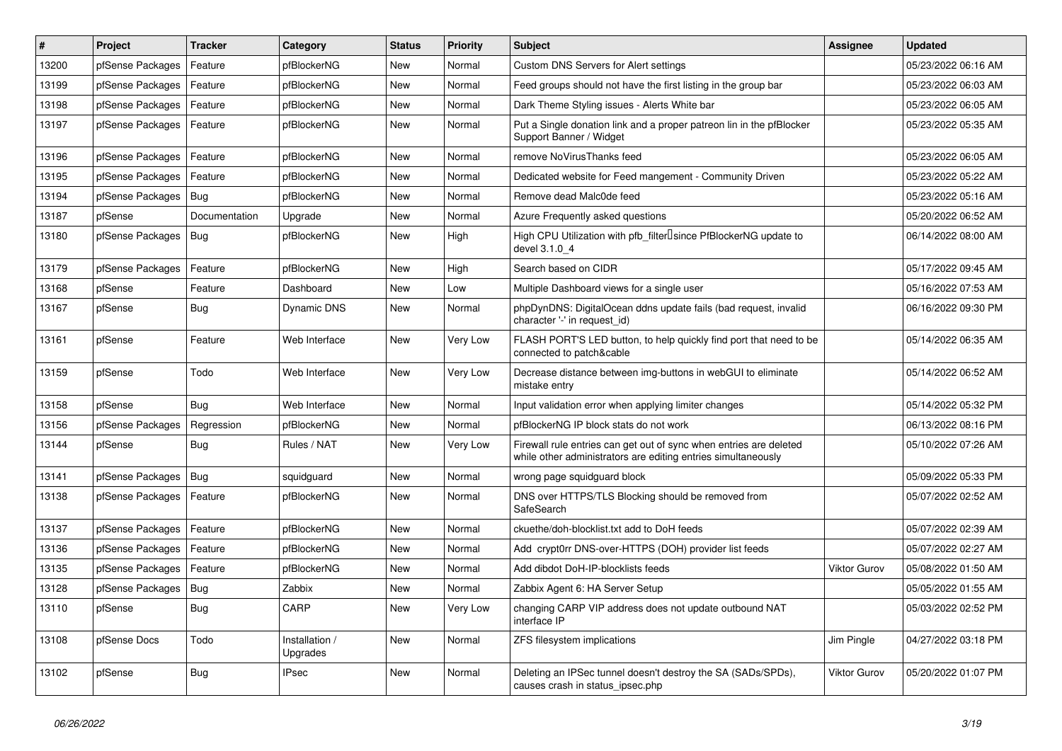| $\vert$ # | Project          | <b>Tracker</b> | Category                   | <b>Status</b> | <b>Priority</b> | <b>Subject</b>                                                                                                                      | Assignee            | <b>Updated</b>      |
|-----------|------------------|----------------|----------------------------|---------------|-----------------|-------------------------------------------------------------------------------------------------------------------------------------|---------------------|---------------------|
| 13200     | pfSense Packages | Feature        | pfBlockerNG                | New           | Normal          | Custom DNS Servers for Alert settings                                                                                               |                     | 05/23/2022 06:16 AM |
| 13199     | pfSense Packages | Feature        | pfBlockerNG                | New           | Normal          | Feed groups should not have the first listing in the group bar                                                                      |                     | 05/23/2022 06:03 AM |
| 13198     | pfSense Packages | Feature        | pfBlockerNG                | New           | Normal          | Dark Theme Styling issues - Alerts White bar                                                                                        |                     | 05/23/2022 06:05 AM |
| 13197     | pfSense Packages | Feature        | pfBlockerNG                | New           | Normal          | Put a Single donation link and a proper patreon lin in the pfBlocker<br>Support Banner / Widget                                     |                     | 05/23/2022 05:35 AM |
| 13196     | pfSense Packages | Feature        | pfBlockerNG                | New           | Normal          | remove NoVirusThanks feed                                                                                                           |                     | 05/23/2022 06:05 AM |
| 13195     | pfSense Packages | Feature        | pfBlockerNG                | New           | Normal          | Dedicated website for Feed mangement - Community Driven                                                                             |                     | 05/23/2022 05:22 AM |
| 13194     | pfSense Packages | <b>Bug</b>     | pfBlockerNG                | New           | Normal          | Remove dead Malc0de feed                                                                                                            |                     | 05/23/2022 05:16 AM |
| 13187     | pfSense          | Documentation  | Upgrade                    | New           | Normal          | Azure Frequently asked questions                                                                                                    |                     | 05/20/2022 06:52 AM |
| 13180     | pfSense Packages | <b>Bug</b>     | pfBlockerNG                | New           | High            | High CPU Utilization with pfb filter Isince PfBlockerNG update to<br>devel 3.1.0 4                                                  |                     | 06/14/2022 08:00 AM |
| 13179     | pfSense Packages | Feature        | pfBlockerNG                | <b>New</b>    | High            | Search based on CIDR                                                                                                                |                     | 05/17/2022 09:45 AM |
| 13168     | pfSense          | Feature        | Dashboard                  | New           | Low             | Multiple Dashboard views for a single user                                                                                          |                     | 05/16/2022 07:53 AM |
| 13167     | pfSense          | <b>Bug</b>     | Dynamic DNS                | New           | Normal          | phpDynDNS: DigitalOcean ddns update fails (bad request, invalid<br>character '-' in request_id)                                     |                     | 06/16/2022 09:30 PM |
| 13161     | pfSense          | Feature        | Web Interface              | New           | Very Low        | FLASH PORT'S LED button, to help quickly find port that need to be<br>connected to patch&cable                                      |                     | 05/14/2022 06:35 AM |
| 13159     | pfSense          | Todo           | Web Interface              | New           | Very Low        | Decrease distance between img-buttons in webGUI to eliminate<br>mistake entry                                                       |                     | 05/14/2022 06:52 AM |
| 13158     | pfSense          | <b>Bug</b>     | Web Interface              | <b>New</b>    | Normal          | Input validation error when applying limiter changes                                                                                |                     | 05/14/2022 05:32 PM |
| 13156     | pfSense Packages | Regression     | pfBlockerNG                | <b>New</b>    | Normal          | pfBlockerNG IP block stats do not work                                                                                              |                     | 06/13/2022 08:16 PM |
| 13144     | pfSense          | <b>Bug</b>     | Rules / NAT                | <b>New</b>    | Very Low        | Firewall rule entries can get out of sync when entries are deleted<br>while other administrators are editing entries simultaneously |                     | 05/10/2022 07:26 AM |
| 13141     | pfSense Packages | Bug            | squidguard                 | New           | Normal          | wrong page squidguard block                                                                                                         |                     | 05/09/2022 05:33 PM |
| 13138     | pfSense Packages | Feature        | pfBlockerNG                | New           | Normal          | DNS over HTTPS/TLS Blocking should be removed from<br>SafeSearch                                                                    |                     | 05/07/2022 02:52 AM |
| 13137     | pfSense Packages | Feature        | pfBlockerNG                | New           | Normal          | ckuethe/doh-blocklist.txt add to DoH feeds                                                                                          |                     | 05/07/2022 02:39 AM |
| 13136     | pfSense Packages | Feature        | pfBlockerNG                | New           | Normal          | Add crypt0rr DNS-over-HTTPS (DOH) provider list feeds                                                                               |                     | 05/07/2022 02:27 AM |
| 13135     | pfSense Packages | Feature        | pfBlockerNG                | New           | Normal          | Add dibdot DoH-IP-blocklists feeds                                                                                                  | <b>Viktor Gurov</b> | 05/08/2022 01:50 AM |
| 13128     | pfSense Packages | <b>Bug</b>     | Zabbix                     | New           | Normal          | Zabbix Agent 6: HA Server Setup                                                                                                     |                     | 05/05/2022 01:55 AM |
| 13110     | pfSense          | Bug            | CARP                       | New           | Very Low        | changing CARP VIP address does not update outbound NAT<br>interface IP                                                              |                     | 05/03/2022 02:52 PM |
| 13108     | pfSense Docs     | Todo           | Installation /<br>Upgrades | New           | Normal          | ZFS filesystem implications                                                                                                         | Jim Pingle          | 04/27/2022 03:18 PM |
| 13102     | pfSense          | Bug            | <b>IPsec</b>               | New           | Normal          | Deleting an IPSec tunnel doesn't destroy the SA (SADs/SPDs),<br>causes crash in status ipsec.php                                    | Viktor Gurov        | 05/20/2022 01:07 PM |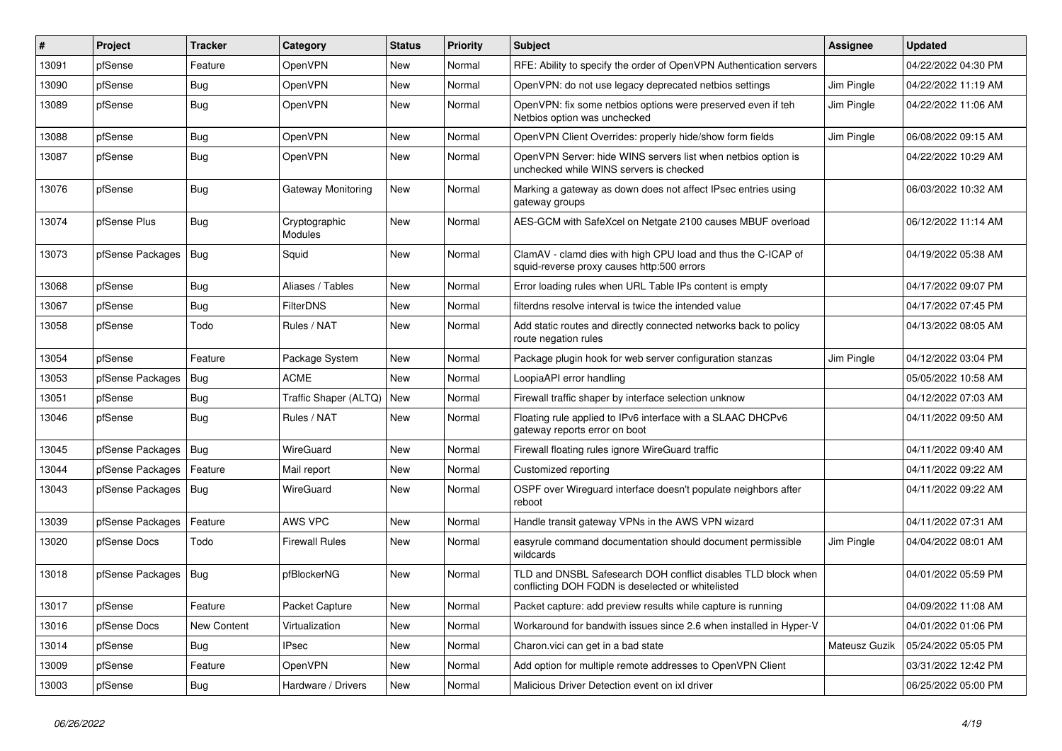| #     | Project          | <b>Tracker</b>     | Category                 | <b>Status</b> | <b>Priority</b> | <b>Subject</b>                                                                                                     | <b>Assignee</b> | <b>Updated</b>      |
|-------|------------------|--------------------|--------------------------|---------------|-----------------|--------------------------------------------------------------------------------------------------------------------|-----------------|---------------------|
| 13091 | pfSense          | Feature            | OpenVPN                  | New           | Normal          | RFE: Ability to specify the order of OpenVPN Authentication servers                                                |                 | 04/22/2022 04:30 PM |
| 13090 | pfSense          | <b>Bug</b>         | OpenVPN                  | New           | Normal          | OpenVPN: do not use legacy deprecated netbios settings                                                             | Jim Pingle      | 04/22/2022 11:19 AM |
| 13089 | pfSense          | <b>Bug</b>         | OpenVPN                  | New           | Normal          | OpenVPN: fix some netbios options were preserved even if teh<br>Netbios option was unchecked                       | Jim Pingle      | 04/22/2022 11:06 AM |
| 13088 | pfSense          | Bug                | OpenVPN                  | New           | Normal          | OpenVPN Client Overrides: properly hide/show form fields                                                           | Jim Pingle      | 06/08/2022 09:15 AM |
| 13087 | pfSense          | Bug                | OpenVPN                  | New           | Normal          | OpenVPN Server: hide WINS servers list when netbios option is<br>unchecked while WINS servers is checked           |                 | 04/22/2022 10:29 AM |
| 13076 | pfSense          | <b>Bug</b>         | Gateway Monitoring       | New           | Normal          | Marking a gateway as down does not affect IPsec entries using<br>gateway groups                                    |                 | 06/03/2022 10:32 AM |
| 13074 | pfSense Plus     | Bug                | Cryptographic<br>Modules | New           | Normal          | AES-GCM with SafeXcel on Netgate 2100 causes MBUF overload                                                         |                 | 06/12/2022 11:14 AM |
| 13073 | pfSense Packages | Bug                | Squid                    | New           | Normal          | ClamAV - clamd dies with high CPU load and thus the C-ICAP of<br>squid-reverse proxy causes http:500 errors        |                 | 04/19/2022 05:38 AM |
| 13068 | pfSense          | Bug                | Aliases / Tables         | New           | Normal          | Error loading rules when URL Table IPs content is empty                                                            |                 | 04/17/2022 09:07 PM |
| 13067 | pfSense          | Bug                | <b>FilterDNS</b>         | New           | Normal          | filterdns resolve interval is twice the intended value                                                             |                 | 04/17/2022 07:45 PM |
| 13058 | pfSense          | Todo               | Rules / NAT              | New           | Normal          | Add static routes and directly connected networks back to policy<br>route negation rules                           |                 | 04/13/2022 08:05 AM |
| 13054 | pfSense          | Feature            | Package System           | <b>New</b>    | Normal          | Package plugin hook for web server configuration stanzas                                                           | Jim Pingle      | 04/12/2022 03:04 PM |
| 13053 | pfSense Packages | Bug                | <b>ACME</b>              | New           | Normal          | LoopiaAPI error handling                                                                                           |                 | 05/05/2022 10:58 AM |
| 13051 | pfSense          | Bug                | Traffic Shaper (ALTQ)    | New           | Normal          | Firewall traffic shaper by interface selection unknow                                                              |                 | 04/12/2022 07:03 AM |
| 13046 | pfSense          | Bug                | Rules / NAT              | New           | Normal          | Floating rule applied to IPv6 interface with a SLAAC DHCPv6<br>gateway reports error on boot                       |                 | 04/11/2022 09:50 AM |
| 13045 | pfSense Packages | <b>Bug</b>         | WireGuard                | New           | Normal          | Firewall floating rules ignore WireGuard traffic                                                                   |                 | 04/11/2022 09:40 AM |
| 13044 | pfSense Packages | Feature            | Mail report              | New           | Normal          | Customized reporting                                                                                               |                 | 04/11/2022 09:22 AM |
| 13043 | pfSense Packages | <b>Bug</b>         | WireGuard                | <b>New</b>    | Normal          | OSPF over Wireguard interface doesn't populate neighbors after<br>reboot                                           |                 | 04/11/2022 09:22 AM |
| 13039 | pfSense Packages | Feature            | AWS VPC                  | New           | Normal          | Handle transit gateway VPNs in the AWS VPN wizard                                                                  |                 | 04/11/2022 07:31 AM |
| 13020 | pfSense Docs     | Todo               | <b>Firewall Rules</b>    | New           | Normal          | easyrule command documentation should document permissible<br>wildcards                                            | Jim Pingle      | 04/04/2022 08:01 AM |
| 13018 | pfSense Packages | <b>Bug</b>         | pfBlockerNG              | New           | Normal          | TLD and DNSBL Safesearch DOH conflict disables TLD block when<br>conflicting DOH FQDN is deselected or whitelisted |                 | 04/01/2022 05:59 PM |
| 13017 | pfSense          | Feature            | <b>Packet Capture</b>    | New           | Normal          | Packet capture: add preview results while capture is running                                                       |                 | 04/09/2022 11:08 AM |
| 13016 | pfSense Docs     | <b>New Content</b> | Virtualization           | New           | Normal          | Workaround for bandwith issues since 2.6 when installed in Hyper-V                                                 |                 | 04/01/2022 01:06 PM |
| 13014 | pfSense          | Bug                | <b>IPsec</b>             | New           | Normal          | Charon. vici can get in a bad state                                                                                | Mateusz Guzik   | 05/24/2022 05:05 PM |
| 13009 | pfSense          | Feature            | OpenVPN                  | New           | Normal          | Add option for multiple remote addresses to OpenVPN Client                                                         |                 | 03/31/2022 12:42 PM |
| 13003 | pfSense          | Bug                | Hardware / Drivers       | <b>New</b>    | Normal          | Malicious Driver Detection event on ixl driver                                                                     |                 | 06/25/2022 05:00 PM |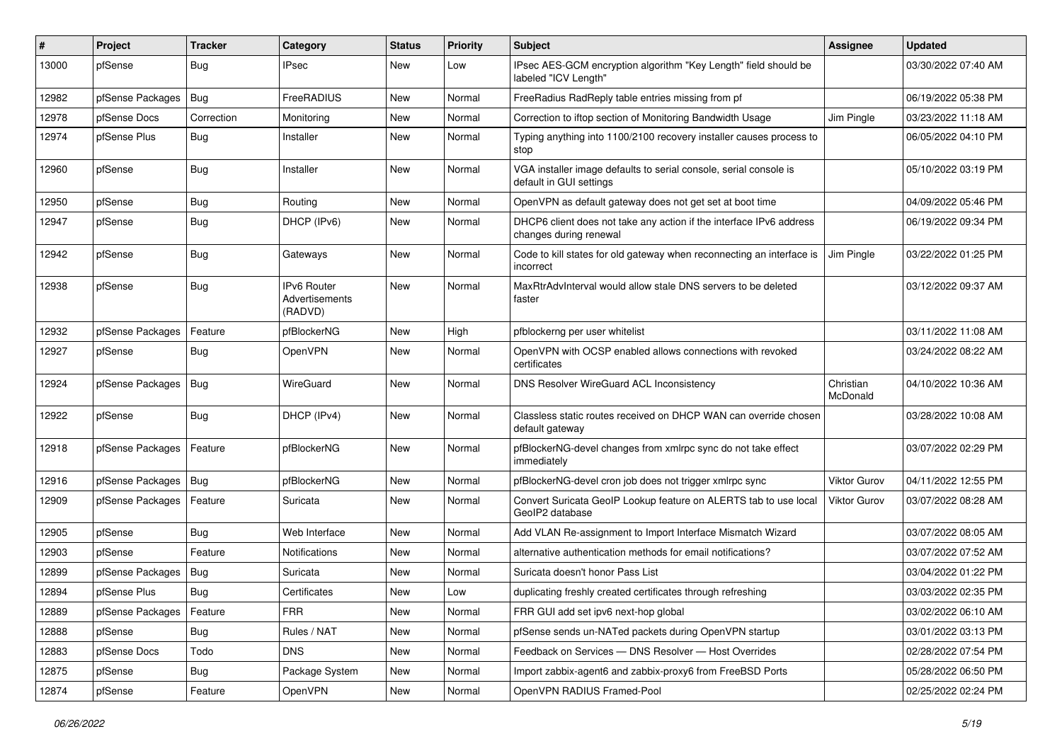| ∦     | Project                | <b>Tracker</b> | Category                                 | <b>Status</b> | Priority | Subject                                                                                       | <b>Assignee</b>       | <b>Updated</b>      |
|-------|------------------------|----------------|------------------------------------------|---------------|----------|-----------------------------------------------------------------------------------------------|-----------------------|---------------------|
| 13000 | pfSense                | Bug            | IPsec                                    | New           | Low      | IPsec AES-GCM encryption algorithm "Key Length" field should be<br>labeled "ICV Length"       |                       | 03/30/2022 07:40 AM |
| 12982 | pfSense Packages       | <b>Bug</b>     | FreeRADIUS                               | New           | Normal   | FreeRadius RadReply table entries missing from pf                                             |                       | 06/19/2022 05:38 PM |
| 12978 | pfSense Docs           | Correction     | Monitoring                               | New           | Normal   | Correction to iftop section of Monitoring Bandwidth Usage                                     | Jim Pingle            | 03/23/2022 11:18 AM |
| 12974 | pfSense Plus           | <b>Bug</b>     | Installer                                | New           | Normal   | Typing anything into 1100/2100 recovery installer causes process to<br>stop                   |                       | 06/05/2022 04:10 PM |
| 12960 | pfSense                | <b>Bug</b>     | Installer                                | New           | Normal   | VGA installer image defaults to serial console, serial console is<br>default in GUI settings  |                       | 05/10/2022 03:19 PM |
| 12950 | pfSense                | <b>Bug</b>     | Routing                                  | New           | Normal   | OpenVPN as default gateway does not get set at boot time                                      |                       | 04/09/2022 05:46 PM |
| 12947 | pfSense                | <b>Bug</b>     | DHCP (IPv6)                              | New           | Normal   | DHCP6 client does not take any action if the interface IPv6 address<br>changes during renewal |                       | 06/19/2022 09:34 PM |
| 12942 | pfSense                | Bug            | Gateways                                 | New           | Normal   | Code to kill states for old gateway when reconnecting an interface is<br>incorrect            | Jim Pingle            | 03/22/2022 01:25 PM |
| 12938 | pfSense                | Bug            | IPv6 Router<br>Advertisements<br>(RADVD) | New           | Normal   | MaxRtrAdvInterval would allow stale DNS servers to be deleted<br>faster                       |                       | 03/12/2022 09:37 AM |
| 12932 | pfSense Packages       | Feature        | pfBlockerNG                              | New           | High     | pfblockerng per user whitelist                                                                |                       | 03/11/2022 11:08 AM |
| 12927 | pfSense                | <b>Bug</b>     | OpenVPN                                  | New           | Normal   | OpenVPN with OCSP enabled allows connections with revoked<br>certificates                     |                       | 03/24/2022 08:22 AM |
| 12924 | pfSense Packages       | <b>Bug</b>     | WireGuard                                | New           | Normal   | DNS Resolver WireGuard ACL Inconsistency                                                      | Christian<br>McDonald | 04/10/2022 10:36 AM |
| 12922 | pfSense                | Bug            | DHCP (IPv4)                              | New           | Normal   | Classless static routes received on DHCP WAN can override chosen<br>default gateway           |                       | 03/28/2022 10:08 AM |
| 12918 | pfSense Packages       | Feature        | pfBlockerNG                              | New           | Normal   | pfBlockerNG-devel changes from xmlrpc sync do not take effect<br>immediately                  |                       | 03/07/2022 02:29 PM |
| 12916 | pfSense Packages   Bug |                | pfBlockerNG                              | New           | Normal   | pfBlockerNG-devel cron job does not trigger xmlrpc sync                                       | <b>Viktor Gurov</b>   | 04/11/2022 12:55 PM |
| 12909 | pfSense Packages       | Feature        | Suricata                                 | New           | Normal   | Convert Suricata GeoIP Lookup feature on ALERTS tab to use local<br>GeoIP2 database           | Viktor Gurov          | 03/07/2022 08:28 AM |
| 12905 | pfSense                | <b>Bug</b>     | Web Interface                            | New           | Normal   | Add VLAN Re-assignment to Import Interface Mismatch Wizard                                    |                       | 03/07/2022 08:05 AM |
| 12903 | pfSense                | Feature        | <b>Notifications</b>                     | New           | Normal   | alternative authentication methods for email notifications?                                   |                       | 03/07/2022 07:52 AM |
| 12899 | pfSense Packages       | <b>Bug</b>     | Suricata                                 | New           | Normal   | Suricata doesn't honor Pass List                                                              |                       | 03/04/2022 01:22 PM |
| 12894 | pfSense Plus           | <b>Bug</b>     | Certificates                             | New           | Low      | duplicating freshly created certificates through refreshing                                   |                       | 03/03/2022 02:35 PM |
| 12889 | pfSense Packages       | Feature        | <b>FRR</b>                               | New           | Normal   | FRR GUI add set ipv6 next-hop global                                                          |                       | 03/02/2022 06:10 AM |
| 12888 | pfSense                | <b>Bug</b>     | Rules / NAT                              | New           | Normal   | pfSense sends un-NATed packets during OpenVPN startup                                         |                       | 03/01/2022 03:13 PM |
| 12883 | pfSense Docs           | Todo           | <b>DNS</b>                               | New           | Normal   | Feedback on Services - DNS Resolver - Host Overrides                                          |                       | 02/28/2022 07:54 PM |
| 12875 | pfSense                | Bug            | Package System                           | New           | Normal   | Import zabbix-agent6 and zabbix-proxy6 from FreeBSD Ports                                     |                       | 05/28/2022 06:50 PM |
| 12874 | pfSense                | Feature        | OpenVPN                                  | New           | Normal   | OpenVPN RADIUS Framed-Pool                                                                    |                       | 02/25/2022 02:24 PM |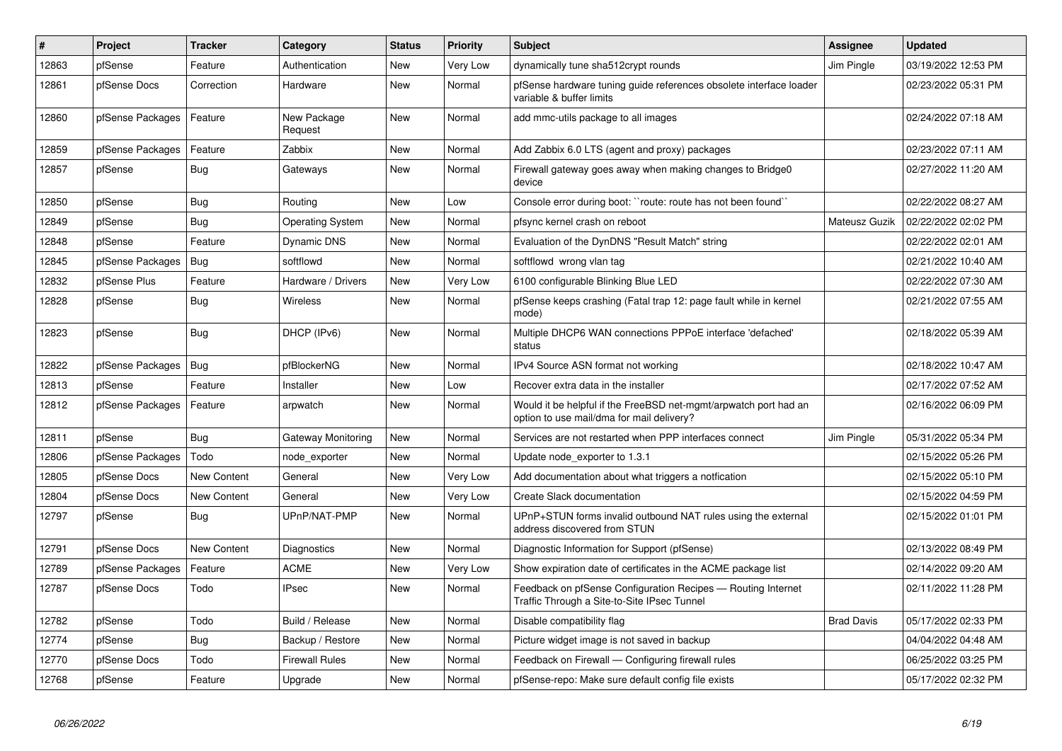| $\sharp$ | Project          | <b>Tracker</b>     | Category                | <b>Status</b> | <b>Priority</b> | <b>Subject</b>                                                                                                | <b>Assignee</b>   | <b>Updated</b>      |
|----------|------------------|--------------------|-------------------------|---------------|-----------------|---------------------------------------------------------------------------------------------------------------|-------------------|---------------------|
| 12863    | pfSense          | Feature            | Authentication          | New           | Very Low        | dynamically tune sha512crypt rounds                                                                           | Jim Pingle        | 03/19/2022 12:53 PM |
| 12861    | pfSense Docs     | Correction         | Hardware                | New           | Normal          | pfSense hardware tuning guide references obsolete interface loader<br>variable & buffer limits                |                   | 02/23/2022 05:31 PM |
| 12860    | pfSense Packages | Feature            | New Package<br>Request  | New           | Normal          | add mmc-utils package to all images                                                                           |                   | 02/24/2022 07:18 AM |
| 12859    | pfSense Packages | Feature            | Zabbix                  | New           | Normal          | Add Zabbix 6.0 LTS (agent and proxy) packages                                                                 |                   | 02/23/2022 07:11 AM |
| 12857    | pfSense          | Bug                | Gateways                | New           | Normal          | Firewall gateway goes away when making changes to Bridge0<br>device                                           |                   | 02/27/2022 11:20 AM |
| 12850    | pfSense          | Bug                | Routing                 | New           | Low             | Console error during boot: ``route: route has not been found``                                                |                   | 02/22/2022 08:27 AM |
| 12849    | pfSense          | Bug                | <b>Operating System</b> | New           | Normal          | pfsync kernel crash on reboot                                                                                 | Mateusz Guzik     | 02/22/2022 02:02 PM |
| 12848    | pfSense          | Feature            | <b>Dynamic DNS</b>      | New           | Normal          | Evaluation of the DynDNS "Result Match" string                                                                |                   | 02/22/2022 02:01 AM |
| 12845    | pfSense Packages | <b>Bug</b>         | softflowd               | New           | Normal          | softflowd wrong vlan tag                                                                                      |                   | 02/21/2022 10:40 AM |
| 12832    | pfSense Plus     | Feature            | Hardware / Drivers      | New           | Very Low        | 6100 configurable Blinking Blue LED                                                                           |                   | 02/22/2022 07:30 AM |
| 12828    | pfSense          | Bug                | <b>Wireless</b>         | New           | Normal          | pfSense keeps crashing (Fatal trap 12: page fault while in kernel<br>mode)                                    |                   | 02/21/2022 07:55 AM |
| 12823    | pfSense          | Bug                | DHCP (IPv6)             | New           | Normal          | Multiple DHCP6 WAN connections PPPoE interface 'defached'<br>status                                           |                   | 02/18/2022 05:39 AM |
| 12822    | pfSense Packages | Bug                | pfBlockerNG             | New           | Normal          | IPv4 Source ASN format not working                                                                            |                   | 02/18/2022 10:47 AM |
| 12813    | pfSense          | Feature            | Installer               | New           | Low             | Recover extra data in the installer                                                                           |                   | 02/17/2022 07:52 AM |
| 12812    | pfSense Packages | Feature            | arpwatch                | New           | Normal          | Would it be helpful if the FreeBSD net-mgmt/arpwatch port had an<br>option to use mail/dma for mail delivery? |                   | 02/16/2022 06:09 PM |
| 12811    | pfSense          | <b>Bug</b>         | Gateway Monitoring      | New           | Normal          | Services are not restarted when PPP interfaces connect                                                        | Jim Pingle        | 05/31/2022 05:34 PM |
| 12806    | pfSense Packages | Todo               | node exporter           | New           | Normal          | Update node exporter to 1.3.1                                                                                 |                   | 02/15/2022 05:26 PM |
| 12805    | pfSense Docs     | <b>New Content</b> | General                 | New           | Very Low        | Add documentation about what triggers a notfication                                                           |                   | 02/15/2022 05:10 PM |
| 12804    | pfSense Docs     | New Content        | General                 | New           | Very Low        | Create Slack documentation                                                                                    |                   | 02/15/2022 04:59 PM |
| 12797    | pfSense          | Bug                | UPnP/NAT-PMP            | New           | Normal          | UPnP+STUN forms invalid outbound NAT rules using the external<br>address discovered from STUN                 |                   | 02/15/2022 01:01 PM |
| 12791    | pfSense Docs     | New Content        | Diagnostics             | New           | Normal          | Diagnostic Information for Support (pfSense)                                                                  |                   | 02/13/2022 08:49 PM |
| 12789    | pfSense Packages | Feature            | <b>ACME</b>             | New           | Very Low        | Show expiration date of certificates in the ACME package list                                                 |                   | 02/14/2022 09:20 AM |
| 12787    | pfSense Docs     | Todo               | <b>IPsec</b>            | New           | Normal          | Feedback on pfSense Configuration Recipes - Routing Internet<br>Traffic Through a Site-to-Site IPsec Tunnel   |                   | 02/11/2022 11:28 PM |
| 12782    | pfSense          | Todo               | Build / Release         | New           | Normal          | Disable compatibility flag                                                                                    | <b>Brad Davis</b> | 05/17/2022 02:33 PM |
| 12774    | pfSense          | <b>Bug</b>         | Backup / Restore        | New           | Normal          | Picture widget image is not saved in backup                                                                   |                   | 04/04/2022 04:48 AM |
| 12770    | pfSense Docs     | Todo               | <b>Firewall Rules</b>   | <b>New</b>    | Normal          | Feedback on Firewall - Configuring firewall rules                                                             |                   | 06/25/2022 03:25 PM |
| 12768    | pfSense          | Feature            | Upgrade                 | New           | Normal          | pfSense-repo: Make sure default config file exists                                                            |                   | 05/17/2022 02:32 PM |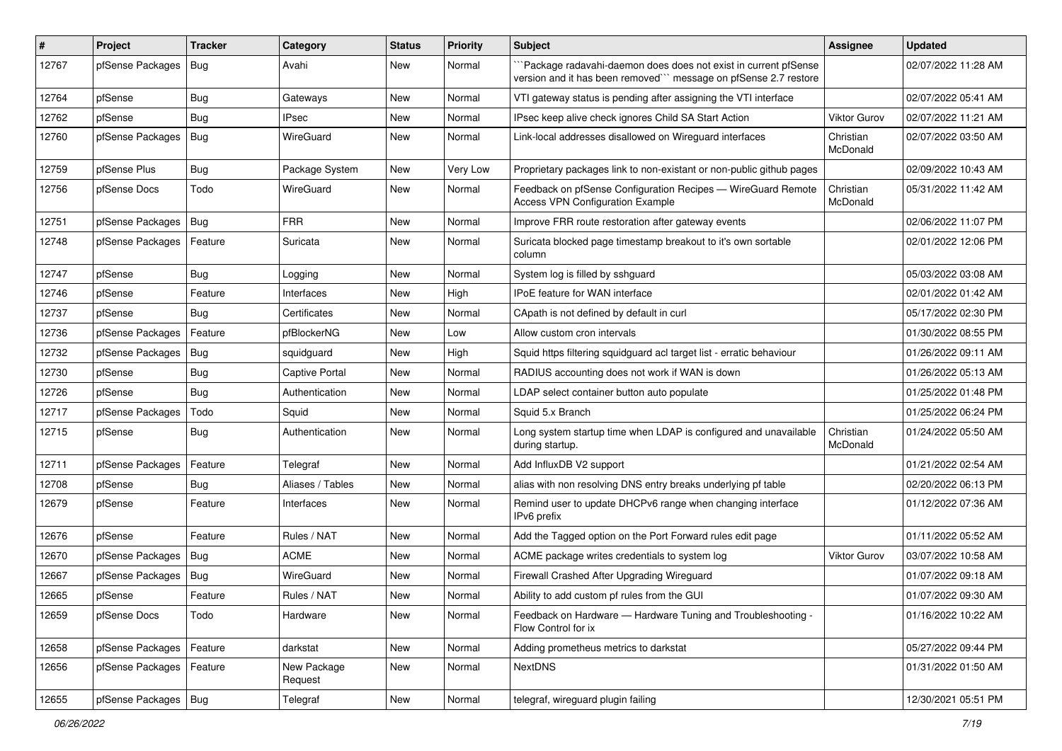| ∦     | Project                | <b>Tracker</b> | Category               | <b>Status</b> | <b>Priority</b> | <b>Subject</b>                                                                                                                      | Assignee              | <b>Updated</b>      |
|-------|------------------------|----------------|------------------------|---------------|-----------------|-------------------------------------------------------------------------------------------------------------------------------------|-----------------------|---------------------|
| 12767 | pfSense Packages       | Bug            | Avahi                  | New           | Normal          | `Package radavahi-daemon does does not exist in current pfSense<br>version and it has been removed"" message on pfSense 2.7 restore |                       | 02/07/2022 11:28 AM |
| 12764 | pfSense                | Bug            | Gateways               | New           | Normal          | VTI gateway status is pending after assigning the VTI interface                                                                     |                       | 02/07/2022 05:41 AM |
| 12762 | pfSense                | <b>Bug</b>     | IPsec                  | New           | Normal          | IPsec keep alive check ignores Child SA Start Action                                                                                | <b>Viktor Gurov</b>   | 02/07/2022 11:21 AM |
| 12760 | pfSense Packages   Bug |                | WireGuard              | New           | Normal          | Link-local addresses disallowed on Wireguard interfaces                                                                             | Christian<br>McDonald | 02/07/2022 03:50 AM |
| 12759 | pfSense Plus           | <b>Bug</b>     | Package System         | New           | Very Low        | Proprietary packages link to non-existant or non-public github pages                                                                |                       | 02/09/2022 10:43 AM |
| 12756 | pfSense Docs           | Todo           | WireGuard              | New           | Normal          | Feedback on pfSense Configuration Recipes - WireGuard Remote<br><b>Access VPN Configuration Example</b>                             | Christian<br>McDonald | 05/31/2022 11:42 AM |
| 12751 | pfSense Packages       | <b>Bug</b>     | <b>FRR</b>             | New           | Normal          | Improve FRR route restoration after gateway events                                                                                  |                       | 02/06/2022 11:07 PM |
| 12748 | pfSense Packages       | Feature        | Suricata               | New           | Normal          | Suricata blocked page timestamp breakout to it's own sortable<br>column                                                             |                       | 02/01/2022 12:06 PM |
| 12747 | pfSense                | Bug            | Logging                | New           | Normal          | System log is filled by sshguard                                                                                                    |                       | 05/03/2022 03:08 AM |
| 12746 | pfSense                | Feature        | Interfaces             | New           | High            | IPoE feature for WAN interface                                                                                                      |                       | 02/01/2022 01:42 AM |
| 12737 | pfSense                | <b>Bug</b>     | Certificates           | New           | Normal          | CApath is not defined by default in curl                                                                                            |                       | 05/17/2022 02:30 PM |
| 12736 | pfSense Packages       | Feature        | pfBlockerNG            | New           | Low             | Allow custom cron intervals                                                                                                         |                       | 01/30/2022 08:55 PM |
| 12732 | pfSense Packages       | Bug            | squidguard             | New           | High            | Squid https filtering squidguard acl target list - erratic behaviour                                                                |                       | 01/26/2022 09:11 AM |
| 12730 | pfSense                | <b>Bug</b>     | <b>Captive Portal</b>  | New           | Normal          | RADIUS accounting does not work if WAN is down                                                                                      |                       | 01/26/2022 05:13 AM |
| 12726 | pfSense                | Bug            | Authentication         | New           | Normal          | LDAP select container button auto populate                                                                                          |                       | 01/25/2022 01:48 PM |
| 12717 | pfSense Packages       | Todo           | Squid                  | New           | Normal          | Squid 5.x Branch                                                                                                                    |                       | 01/25/2022 06:24 PM |
| 12715 | pfSense                | Bug            | Authentication         | New           | Normal          | Long system startup time when LDAP is configured and unavailable<br>during startup.                                                 | Christian<br>McDonald | 01/24/2022 05:50 AM |
| 12711 | pfSense Packages       | Feature        | Telegraf               | New           | Normal          | Add InfluxDB V2 support                                                                                                             |                       | 01/21/2022 02:54 AM |
| 12708 | pfSense                | <b>Bug</b>     | Aliases / Tables       | New           | Normal          | alias with non resolving DNS entry breaks underlying pf table                                                                       |                       | 02/20/2022 06:13 PM |
| 12679 | pfSense                | Feature        | Interfaces             | New           | Normal          | Remind user to update DHCPv6 range when changing interface<br>IPv6 prefix                                                           |                       | 01/12/2022 07:36 AM |
| 12676 | pfSense                | Feature        | Rules / NAT            | New           | Normal          | Add the Tagged option on the Port Forward rules edit page                                                                           |                       | 01/11/2022 05:52 AM |
| 12670 | pfSense Packages   Bug |                | <b>ACME</b>            | New           | Normal          | ACME package writes credentials to system log                                                                                       | Viktor Gurov          | 03/07/2022 10:58 AM |
| 12667 | pfSense Packages       | Bug            | WireGuard              | New           | Normal          | Firewall Crashed After Upgrading Wireguard                                                                                          |                       | 01/07/2022 09:18 AM |
| 12665 | pfSense                | Feature        | Rules / NAT            | New           | Normal          | Ability to add custom pf rules from the GUI                                                                                         |                       | 01/07/2022 09:30 AM |
| 12659 | pfSense Docs           | Todo           | Hardware               | New           | Normal          | Feedback on Hardware - Hardware Tuning and Troubleshooting -<br>Flow Control for ix                                                 |                       | 01/16/2022 10:22 AM |
| 12658 | pfSense Packages       | Feature        | darkstat               | New           | Normal          | Adding prometheus metrics to darkstat                                                                                               |                       | 05/27/2022 09:44 PM |
| 12656 | pfSense Packages       | Feature        | New Package<br>Request | New           | Normal          | <b>NextDNS</b>                                                                                                                      |                       | 01/31/2022 01:50 AM |
| 12655 | pfSense Packages   Bug |                | Telegraf               | New           | Normal          | telegraf, wireguard plugin failing                                                                                                  |                       | 12/30/2021 05:51 PM |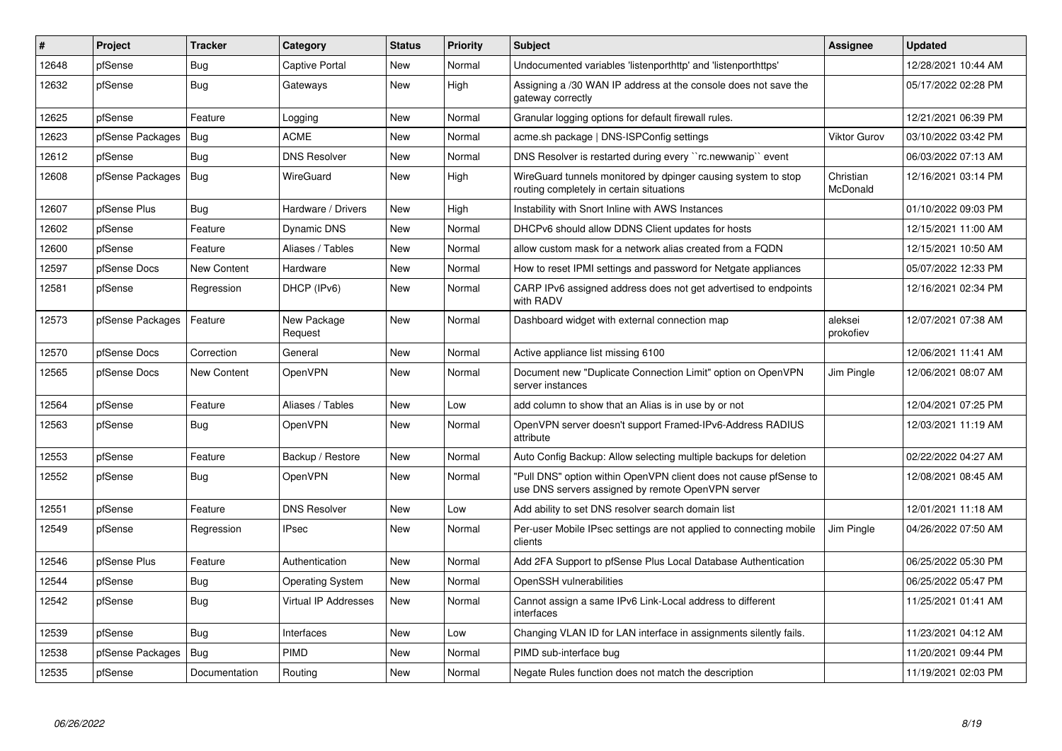| #     | Project          | <b>Tracker</b>     | Category                | <b>Status</b> | <b>Priority</b> | <b>Subject</b>                                                                                                         | <b>Assignee</b>       | <b>Updated</b>      |
|-------|------------------|--------------------|-------------------------|---------------|-----------------|------------------------------------------------------------------------------------------------------------------------|-----------------------|---------------------|
| 12648 | pfSense          | <b>Bug</b>         | <b>Captive Portal</b>   | <b>New</b>    | Normal          | Undocumented variables 'listenporthttp' and 'listenporthttps'                                                          |                       | 12/28/2021 10:44 AM |
| 12632 | pfSense          | Bug                | Gateways                | New           | High            | Assigning a /30 WAN IP address at the console does not save the<br>gateway correctly                                   |                       | 05/17/2022 02:28 PM |
| 12625 | pfSense          | Feature            | Logging                 | <b>New</b>    | Normal          | Granular logging options for default firewall rules.                                                                   |                       | 12/21/2021 06:39 PM |
| 12623 | pfSense Packages | <b>Bug</b>         | <b>ACME</b>             | <b>New</b>    | Normal          | acme.sh package   DNS-ISPConfig settings                                                                               | Viktor Gurov          | 03/10/2022 03:42 PM |
| 12612 | pfSense          | Bug                | <b>DNS Resolver</b>     | New           | Normal          | DNS Resolver is restarted during every "rc.newwanip" event                                                             |                       | 06/03/2022 07:13 AM |
| 12608 | pfSense Packages | Bug                | WireGuard               | New           | High            | WireGuard tunnels monitored by dpinger causing system to stop<br>routing completely in certain situations              | Christian<br>McDonald | 12/16/2021 03:14 PM |
| 12607 | pfSense Plus     | Bug                | Hardware / Drivers      | New           | High            | Instability with Snort Inline with AWS Instances                                                                       |                       | 01/10/2022 09:03 PM |
| 12602 | pfSense          | Feature            | Dynamic DNS             | New           | Normal          | DHCPv6 should allow DDNS Client updates for hosts                                                                      |                       | 12/15/2021 11:00 AM |
| 12600 | pfSense          | Feature            | Aliases / Tables        | New           | Normal          | allow custom mask for a network alias created from a FQDN                                                              |                       | 12/15/2021 10:50 AM |
| 12597 | pfSense Docs     | New Content        | Hardware                | <b>New</b>    | Normal          | How to reset IPMI settings and password for Netgate appliances                                                         |                       | 05/07/2022 12:33 PM |
| 12581 | pfSense          | Regression         | DHCP (IPv6)             | New           | Normal          | CARP IPv6 assigned address does not get advertised to endpoints<br>with RADV                                           |                       | 12/16/2021 02:34 PM |
| 12573 | pfSense Packages | Feature            | New Package<br>Request  | New           | Normal          | Dashboard widget with external connection map                                                                          | aleksei<br>prokofiev  | 12/07/2021 07:38 AM |
| 12570 | pfSense Docs     | Correction         | General                 | New           | Normal          | Active appliance list missing 6100                                                                                     |                       | 12/06/2021 11:41 AM |
| 12565 | pfSense Docs     | <b>New Content</b> | OpenVPN                 | New           | Normal          | Document new "Duplicate Connection Limit" option on OpenVPN<br>server instances                                        | Jim Pingle            | 12/06/2021 08:07 AM |
| 12564 | pfSense          | Feature            | Aliases / Tables        | New           | Low             | add column to show that an Alias is in use by or not                                                                   |                       | 12/04/2021 07:25 PM |
| 12563 | pfSense          | <b>Bug</b>         | OpenVPN                 | New           | Normal          | OpenVPN server doesn't support Framed-IPv6-Address RADIUS<br>attribute                                                 |                       | 12/03/2021 11:19 AM |
| 12553 | pfSense          | Feature            | Backup / Restore        | New           | Normal          | Auto Config Backup: Allow selecting multiple backups for deletion                                                      |                       | 02/22/2022 04:27 AM |
| 12552 | pfSense          | <b>Bug</b>         | OpenVPN                 | New           | Normal          | 'Pull DNS" option within OpenVPN client does not cause pfSense to<br>use DNS servers assigned by remote OpenVPN server |                       | 12/08/2021 08:45 AM |
| 12551 | pfSense          | Feature            | <b>DNS Resolver</b>     | New           | Low             | Add ability to set DNS resolver search domain list                                                                     |                       | 12/01/2021 11:18 AM |
| 12549 | pfSense          | Regression         | IPsec                   | New           | Normal          | Per-user Mobile IPsec settings are not applied to connecting mobile<br>clients                                         | Jim Pingle            | 04/26/2022 07:50 AM |
| 12546 | pfSense Plus     | Feature            | Authentication          | New           | Normal          | Add 2FA Support to pfSense Plus Local Database Authentication                                                          |                       | 06/25/2022 05:30 PM |
| 12544 | pfSense          | <b>Bug</b>         | <b>Operating System</b> | New           | Normal          | OpenSSH vulnerabilities                                                                                                |                       | 06/25/2022 05:47 PM |
| 12542 | pfSense          | <b>Bug</b>         | Virtual IP Addresses    | New           | Normal          | Cannot assign a same IPv6 Link-Local address to different<br>interfaces                                                |                       | 11/25/2021 01:41 AM |
| 12539 | pfSense          | Bug                | Interfaces              | New           | Low             | Changing VLAN ID for LAN interface in assignments silently fails.                                                      |                       | 11/23/2021 04:12 AM |
| 12538 | pfSense Packages | <b>Bug</b>         | <b>PIMD</b>             | New           | Normal          | PIMD sub-interface bug                                                                                                 |                       | 11/20/2021 09:44 PM |
| 12535 | pfSense          | Documentation      | Routing                 | <b>New</b>    | Normal          | Negate Rules function does not match the description                                                                   |                       | 11/19/2021 02:03 PM |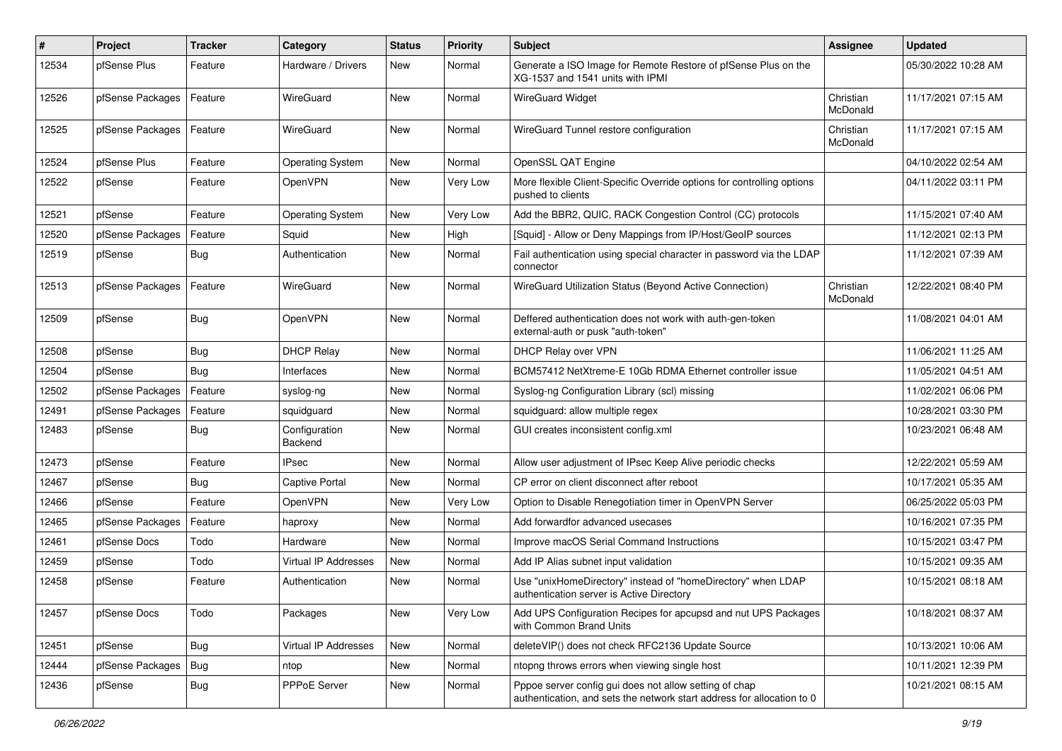| $\vert$ # | Project          | <b>Tracker</b> | Category                 | <b>Status</b> | <b>Priority</b> | <b>Subject</b>                                                                                                                   | Assignee              | <b>Updated</b>      |
|-----------|------------------|----------------|--------------------------|---------------|-----------------|----------------------------------------------------------------------------------------------------------------------------------|-----------------------|---------------------|
| 12534     | pfSense Plus     | Feature        | Hardware / Drivers       | New           | Normal          | Generate a ISO Image for Remote Restore of pfSense Plus on the<br>XG-1537 and 1541 units with IPMI                               |                       | 05/30/2022 10:28 AM |
| 12526     | pfSense Packages | Feature        | WireGuard                | New           | Normal          | <b>WireGuard Widget</b>                                                                                                          | Christian<br>McDonald | 11/17/2021 07:15 AM |
| 12525     | pfSense Packages | Feature        | WireGuard                | New           | Normal          | WireGuard Tunnel restore configuration                                                                                           | Christian<br>McDonald | 11/17/2021 07:15 AM |
| 12524     | pfSense Plus     | Feature        | <b>Operating System</b>  | New           | Normal          | OpenSSL QAT Engine                                                                                                               |                       | 04/10/2022 02:54 AM |
| 12522     | pfSense          | Feature        | OpenVPN                  | New           | Very Low        | More flexible Client-Specific Override options for controlling options<br>pushed to clients                                      |                       | 04/11/2022 03:11 PM |
| 12521     | pfSense          | Feature        | <b>Operating System</b>  | New           | Very Low        | Add the BBR2, QUIC, RACK Congestion Control (CC) protocols                                                                       |                       | 11/15/2021 07:40 AM |
| 12520     | pfSense Packages | Feature        | Squid                    | New           | High            | [Squid] - Allow or Deny Mappings from IP/Host/GeoIP sources                                                                      |                       | 11/12/2021 02:13 PM |
| 12519     | pfSense          | Bug            | Authentication           | New           | Normal          | Fail authentication using special character in password via the LDAP<br>connector                                                |                       | 11/12/2021 07:39 AM |
| 12513     | pfSense Packages | Feature        | WireGuard                | New           | Normal          | WireGuard Utilization Status (Beyond Active Connection)                                                                          | Christian<br>McDonald | 12/22/2021 08:40 PM |
| 12509     | pfSense          | Bug            | OpenVPN                  | New           | Normal          | Deffered authentication does not work with auth-gen-token<br>external-auth or pusk "auth-token"                                  |                       | 11/08/2021 04:01 AM |
| 12508     | pfSense          | <b>Bug</b>     | <b>DHCP Relay</b>        | New           | Normal          | DHCP Relay over VPN                                                                                                              |                       | 11/06/2021 11:25 AM |
| 12504     | pfSense          | Bug            | Interfaces               | New           | Normal          | BCM57412 NetXtreme-E 10Gb RDMA Ethernet controller issue                                                                         |                       | 11/05/2021 04:51 AM |
| 12502     | pfSense Packages | Feature        | syslog-ng                | New           | Normal          | Syslog-ng Configuration Library (scl) missing                                                                                    |                       | 11/02/2021 06:06 PM |
| 12491     | pfSense Packages | Feature        | squidguard               | New           | Normal          | squidguard: allow multiple regex                                                                                                 |                       | 10/28/2021 03:30 PM |
| 12483     | pfSense          | <b>Bug</b>     | Configuration<br>Backend | New           | Normal          | GUI creates inconsistent config.xml                                                                                              |                       | 10/23/2021 06:48 AM |
| 12473     | pfSense          | Feature        | <b>IPsec</b>             | New           | Normal          | Allow user adjustment of IPsec Keep Alive periodic checks                                                                        |                       | 12/22/2021 05:59 AM |
| 12467     | pfSense          | <b>Bug</b>     | <b>Captive Portal</b>    | New           | Normal          | CP error on client disconnect after reboot                                                                                       |                       | 10/17/2021 05:35 AM |
| 12466     | pfSense          | Feature        | OpenVPN                  | New           | Very Low        | Option to Disable Renegotiation timer in OpenVPN Server                                                                          |                       | 06/25/2022 05:03 PM |
| 12465     | pfSense Packages | Feature        | haproxy                  | New           | Normal          | Add forwardfor advanced usecases                                                                                                 |                       | 10/16/2021 07:35 PM |
| 12461     | pfSense Docs     | Todo           | Hardware                 | New           | Normal          | Improve macOS Serial Command Instructions                                                                                        |                       | 10/15/2021 03:47 PM |
| 12459     | pfSense          | Todo           | Virtual IP Addresses     | New           | Normal          | Add IP Alias subnet input validation                                                                                             |                       | 10/15/2021 09:35 AM |
| 12458     | pfSense          | Feature        | Authentication           | New           | Normal          | Use "unixHomeDirectory" instead of "homeDirectory" when LDAP<br>authentication server is Active Directory                        |                       | 10/15/2021 08:18 AM |
| 12457     | pfSense Docs     | Todo           | Packages                 | New           | Very Low        | Add UPS Configuration Recipes for apcupsd and nut UPS Packages<br>with Common Brand Units                                        |                       | 10/18/2021 08:37 AM |
| 12451     | pfSense          | Bug            | Virtual IP Addresses     | New           | Normal          | deleteVIP() does not check RFC2136 Update Source                                                                                 |                       | 10/13/2021 10:06 AM |
| 12444     | pfSense Packages | Bug            | ntop                     | New           | Normal          | ntopng throws errors when viewing single host                                                                                    |                       | 10/11/2021 12:39 PM |
| 12436     | pfSense          | <b>Bug</b>     | PPPoE Server             | New           | Normal          | Pppoe server config gui does not allow setting of chap<br>authentication, and sets the network start address for allocation to 0 |                       | 10/21/2021 08:15 AM |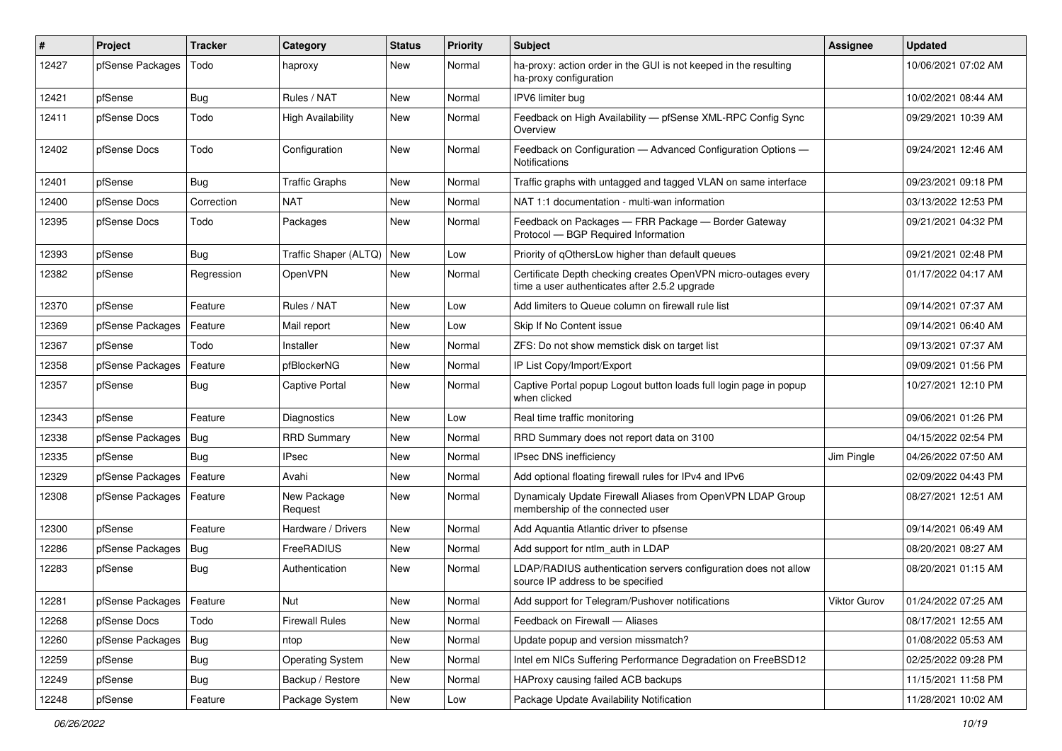| ∦     | Project                    | <b>Tracker</b> | Category                 | <b>Status</b> | Priority | <b>Subject</b>                                                                                                  | Assignee     | <b>Updated</b>      |
|-------|----------------------------|----------------|--------------------------|---------------|----------|-----------------------------------------------------------------------------------------------------------------|--------------|---------------------|
| 12427 | pfSense Packages           | Todo           | haproxy                  | New           | Normal   | ha-proxy: action order in the GUI is not keeped in the resulting<br>ha-proxy configuration                      |              | 10/06/2021 07:02 AM |
| 12421 | pfSense                    | Bug            | Rules / NAT              | New           | Normal   | IPV6 limiter bug                                                                                                |              | 10/02/2021 08:44 AM |
| 12411 | pfSense Docs               | Todo           | <b>High Availability</b> | New           | Normal   | Feedback on High Availability - pfSense XML-RPC Config Sync<br>Overview                                         |              | 09/29/2021 10:39 AM |
| 12402 | pfSense Docs               | Todo           | Configuration            | New           | Normal   | Feedback on Configuration - Advanced Configuration Options -<br>Notifications                                   |              | 09/24/2021 12:46 AM |
| 12401 | pfSense                    | Bug            | <b>Traffic Graphs</b>    | New           | Normal   | Traffic graphs with untagged and tagged VLAN on same interface                                                  |              | 09/23/2021 09:18 PM |
| 12400 | pfSense Docs               | Correction     | <b>NAT</b>               | New           | Normal   | NAT 1:1 documentation - multi-wan information                                                                   |              | 03/13/2022 12:53 PM |
| 12395 | pfSense Docs               | Todo           | Packages                 | New           | Normal   | Feedback on Packages - FRR Package - Border Gateway<br>Protocol - BGP Required Information                      |              | 09/21/2021 04:32 PM |
| 12393 | pfSense                    | Bug            | Traffic Shaper (ALTQ)    | <b>New</b>    | Low      | Priority of gOthersLow higher than default queues                                                               |              | 09/21/2021 02:48 PM |
| 12382 | pfSense                    | Regression     | OpenVPN                  | New           | Normal   | Certificate Depth checking creates OpenVPN micro-outages every<br>time a user authenticates after 2.5.2 upgrade |              | 01/17/2022 04:17 AM |
| 12370 | pfSense                    | Feature        | Rules / NAT              | New           | Low      | Add limiters to Queue column on firewall rule list                                                              |              | 09/14/2021 07:37 AM |
| 12369 | pfSense Packages           | Feature        | Mail report              | New           | Low      | Skip If No Content issue                                                                                        |              | 09/14/2021 06:40 AM |
| 12367 | pfSense                    | Todo           | Installer                | New           | Normal   | ZFS: Do not show memstick disk on target list                                                                   |              | 09/13/2021 07:37 AM |
| 12358 | pfSense Packages           | Feature        | pfBlockerNG              | New           | Normal   | IP List Copy/Import/Export                                                                                      |              | 09/09/2021 01:56 PM |
| 12357 | pfSense                    | <b>Bug</b>     | Captive Portal           | New           | Normal   | Captive Portal popup Logout button loads full login page in popup<br>when clicked                               |              | 10/27/2021 12:10 PM |
| 12343 | pfSense                    | Feature        | <b>Diagnostics</b>       | New           | Low      | Real time traffic monitoring                                                                                    |              | 09/06/2021 01:26 PM |
| 12338 | pfSense Packages           | Bug            | <b>RRD Summary</b>       | New           | Normal   | RRD Summary does not report data on 3100                                                                        |              | 04/15/2022 02:54 PM |
| 12335 | pfSense                    | <b>Bug</b>     | <b>IPsec</b>             | New           | Normal   | IPsec DNS inefficiency                                                                                          | Jim Pingle   | 04/26/2022 07:50 AM |
| 12329 | pfSense Packages           | Feature        | Avahi                    | New           | Normal   | Add optional floating firewall rules for IPv4 and IPv6                                                          |              | 02/09/2022 04:43 PM |
| 12308 | pfSense Packages           | Feature        | New Package<br>Request   | New           | Normal   | Dynamicaly Update Firewall Aliases from OpenVPN LDAP Group<br>membership of the connected user                  |              | 08/27/2021 12:51 AM |
| 12300 | pfSense                    | Feature        | Hardware / Drivers       | New           | Normal   | Add Aquantia Atlantic driver to pfsense                                                                         |              | 09/14/2021 06:49 AM |
| 12286 | pfSense Packages           | <b>Bug</b>     | FreeRADIUS               | New           | Normal   | Add support for ntlm_auth in LDAP                                                                               |              | 08/20/2021 08:27 AM |
| 12283 | pfSense                    | Bug            | Authentication           | New           | Normal   | LDAP/RADIUS authentication servers configuration does not allow<br>source IP address to be specified            |              | 08/20/2021 01:15 AM |
| 12281 | pfSense Packages   Feature |                | Nut                      | New           | Normal   | Add support for Telegram/Pushover notifications                                                                 | Viktor Gurov | 01/24/2022 07:25 AM |
| 12268 | pfSense Docs               | Todo           | <b>Firewall Rules</b>    | New           | Normal   | Feedback on Firewall - Aliases                                                                                  |              | 08/17/2021 12:55 AM |
| 12260 | pfSense Packages   Bug     |                | ntop                     | New           | Normal   | Update popup and version missmatch?                                                                             |              | 01/08/2022 05:53 AM |
| 12259 | pfSense                    | Bug            | <b>Operating System</b>  | New           | Normal   | Intel em NICs Suffering Performance Degradation on FreeBSD12                                                    |              | 02/25/2022 09:28 PM |
| 12249 | pfSense                    | <b>Bug</b>     | Backup / Restore         | New           | Normal   | HAProxy causing failed ACB backups                                                                              |              | 11/15/2021 11:58 PM |
| 12248 | pfSense                    | Feature        | Package System           | New           | Low      | Package Update Availability Notification                                                                        |              | 11/28/2021 10:02 AM |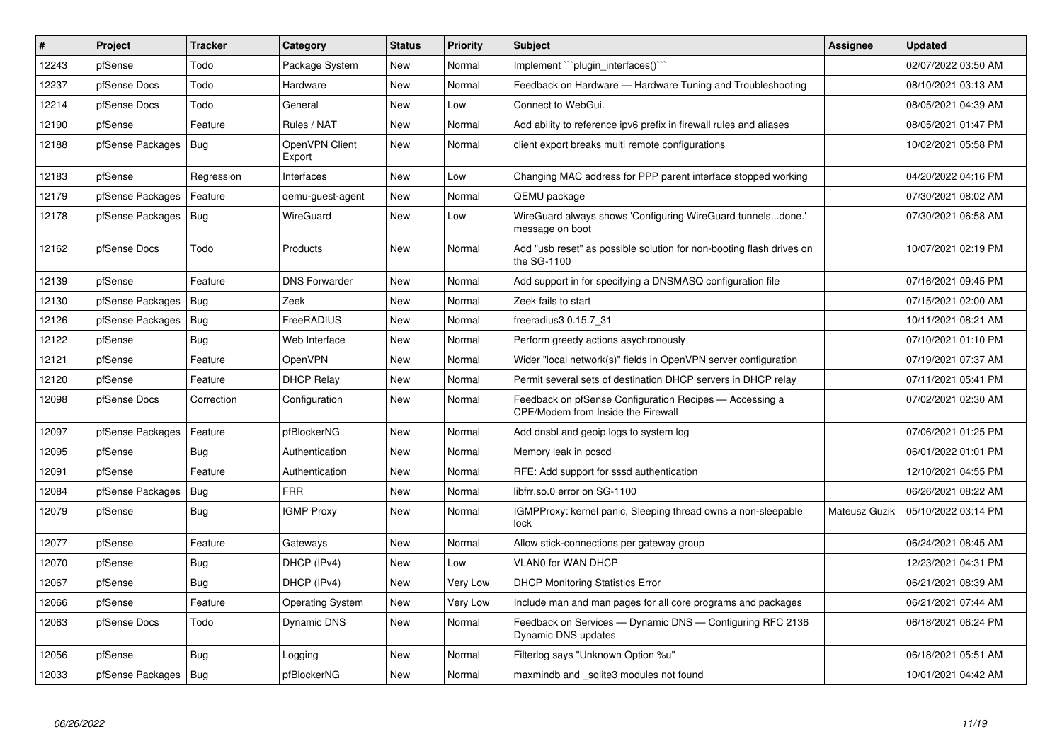| #     | <b>Project</b>         | <b>Tracker</b> | Category                 | <b>Status</b> | Priority | <b>Subject</b>                                                                                | <b>Assignee</b> | <b>Updated</b>      |
|-------|------------------------|----------------|--------------------------|---------------|----------|-----------------------------------------------------------------------------------------------|-----------------|---------------------|
| 12243 | pfSense                | Todo           | Package System           | New           | Normal   | Implement "plugin_interfaces()"                                                               |                 | 02/07/2022 03:50 AM |
| 12237 | pfSense Docs           | Todo           | Hardware                 | New           | Normal   | Feedback on Hardware - Hardware Tuning and Troubleshooting                                    |                 | 08/10/2021 03:13 AM |
| 12214 | pfSense Docs           | Todo           | General                  | New           | Low      | Connect to WebGui.                                                                            |                 | 08/05/2021 04:39 AM |
| 12190 | pfSense                | Feature        | Rules / NAT              | New           | Normal   | Add ability to reference ipv6 prefix in firewall rules and aliases                            |                 | 08/05/2021 01:47 PM |
| 12188 | pfSense Packages       | Bug            | OpenVPN Client<br>Export | New           | Normal   | client export breaks multi remote configurations                                              |                 | 10/02/2021 05:58 PM |
| 12183 | pfSense                | Regression     | Interfaces               | New           | Low      | Changing MAC address for PPP parent interface stopped working                                 |                 | 04/20/2022 04:16 PM |
| 12179 | pfSense Packages       | Feature        | gemu-guest-agent         | New           | Normal   | QEMU package                                                                                  |                 | 07/30/2021 08:02 AM |
| 12178 | pfSense Packages   Bug |                | WireGuard                | New           | Low      | WireGuard always shows 'Configuring WireGuard tunnelsdone.'<br>message on boot                |                 | 07/30/2021 06:58 AM |
| 12162 | pfSense Docs           | Todo           | Products                 | New           | Normal   | Add "usb reset" as possible solution for non-booting flash drives on<br>the SG-1100           |                 | 10/07/2021 02:19 PM |
| 12139 | pfSense                | Feature        | <b>DNS Forwarder</b>     | New           | Normal   | Add support in for specifying a DNSMASQ configuration file                                    |                 | 07/16/2021 09:45 PM |
| 12130 | pfSense Packages       | <b>Bug</b>     | Zeek                     | New           | Normal   | Zeek fails to start                                                                           |                 | 07/15/2021 02:00 AM |
| 12126 | pfSense Packages       | Bug            | FreeRADIUS               | New           | Normal   | freeradius3 0.15.7 31                                                                         |                 | 10/11/2021 08:21 AM |
| 12122 | pfSense                | Bug            | Web Interface            | New           | Normal   | Perform greedy actions asychronously                                                          |                 | 07/10/2021 01:10 PM |
| 12121 | pfSense                | Feature        | OpenVPN                  | New           | Normal   | Wider "local network(s)" fields in OpenVPN server configuration                               |                 | 07/19/2021 07:37 AM |
| 12120 | pfSense                | Feature        | <b>DHCP Relay</b>        | <b>New</b>    | Normal   | Permit several sets of destination DHCP servers in DHCP relay                                 |                 | 07/11/2021 05:41 PM |
| 12098 | pfSense Docs           | Correction     | Configuration            | New           | Normal   | Feedback on pfSense Configuration Recipes - Accessing a<br>CPE/Modem from Inside the Firewall |                 | 07/02/2021 02:30 AM |
| 12097 | pfSense Packages       | Feature        | pfBlockerNG              | <b>New</b>    | Normal   | Add dnsbl and geoip logs to system log                                                        |                 | 07/06/2021 01:25 PM |
| 12095 | pfSense                | Bug            | Authentication           | New           | Normal   | Memory leak in pcscd                                                                          |                 | 06/01/2022 01:01 PM |
| 12091 | pfSense                | Feature        | Authentication           | <b>New</b>    | Normal   | RFE: Add support for sssd authentication                                                      |                 | 12/10/2021 04:55 PM |
| 12084 | pfSense Packages       | Bug            | <b>FRR</b>               | New           | Normal   | libfrr.so.0 error on SG-1100                                                                  |                 | 06/26/2021 08:22 AM |
| 12079 | pfSense                | <b>Bug</b>     | <b>IGMP Proxy</b>        | New           | Normal   | IGMPProxy: kernel panic, Sleeping thread owns a non-sleepable<br>lock                         | Mateusz Guzik   | 05/10/2022 03:14 PM |
| 12077 | pfSense                | Feature        | Gateways                 | <b>New</b>    | Normal   | Allow stick-connections per gateway group                                                     |                 | 06/24/2021 08:45 AM |
| 12070 | pfSense                | <b>Bug</b>     | DHCP (IPv4)              | New           | Low      | VLAN0 for WAN DHCP                                                                            |                 | 12/23/2021 04:31 PM |
| 12067 | pfSense                | Bug            | DHCP (IPv4)              | New           | Very Low | <b>DHCP Monitoring Statistics Error</b>                                                       |                 | 06/21/2021 08:39 AM |
| 12066 | pfSense                | Feature        | <b>Operating System</b>  | New           | Very Low | Include man and man pages for all core programs and packages                                  |                 | 06/21/2021 07:44 AM |
| 12063 | pfSense Docs           | Todo           | Dynamic DNS              | New           | Normal   | Feedback on Services — Dynamic DNS — Configuring RFC 2136<br>Dynamic DNS updates              |                 | 06/18/2021 06:24 PM |
| 12056 | pfSense                | <b>Bug</b>     | Logging                  | New           | Normal   | Filterlog says "Unknown Option %u"                                                            |                 | 06/18/2021 05:51 AM |
| 12033 | pfSense Packages   Bug |                | pfBlockerNG              | New           | Normal   | maxmindb and sqlite3 modules not found                                                        |                 | 10/01/2021 04:42 AM |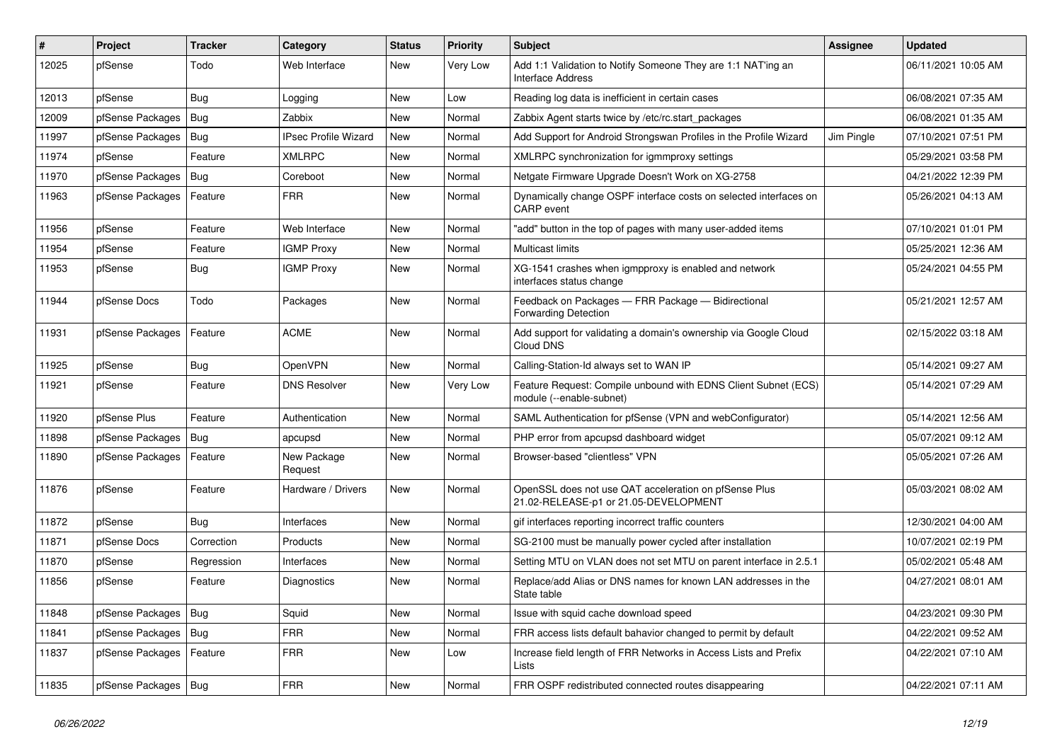| #     | Project                | <b>Tracker</b> | Category               | <b>Status</b> | <b>Priority</b> | <b>Subject</b>                                                                                 | <b>Assignee</b> | <b>Updated</b>      |
|-------|------------------------|----------------|------------------------|---------------|-----------------|------------------------------------------------------------------------------------------------|-----------------|---------------------|
| 12025 | pfSense                | Todo           | Web Interface          | New           | Very Low        | Add 1:1 Validation to Notify Someone They are 1:1 NAT'ing an<br>Interface Address              |                 | 06/11/2021 10:05 AM |
| 12013 | pfSense                | Bug            | Logging                | New           | Low             | Reading log data is inefficient in certain cases                                               |                 | 06/08/2021 07:35 AM |
| 12009 | pfSense Packages       | Bug            | Zabbix                 | New           | Normal          | Zabbix Agent starts twice by /etc/rc.start_packages                                            |                 | 06/08/2021 01:35 AM |
| 11997 | pfSense Packages       | Bug            | IPsec Profile Wizard   | New           | Normal          | Add Support for Android Strongswan Profiles in the Profile Wizard                              | Jim Pingle      | 07/10/2021 07:51 PM |
| 11974 | pfSense                | Feature        | <b>XMLRPC</b>          | New           | Normal          | XMLRPC synchronization for igmmproxy settings                                                  |                 | 05/29/2021 03:58 PM |
| 11970 | pfSense Packages       | <b>Bug</b>     | Coreboot               | New           | Normal          | Netgate Firmware Upgrade Doesn't Work on XG-2758                                               |                 | 04/21/2022 12:39 PM |
| 11963 | pfSense Packages       | Feature        | <b>FRR</b>             | New           | Normal          | Dynamically change OSPF interface costs on selected interfaces on<br><b>CARP</b> event         |                 | 05/26/2021 04:13 AM |
| 11956 | pfSense                | Feature        | Web Interface          | New           | Normal          | "add" button in the top of pages with many user-added items                                    |                 | 07/10/2021 01:01 PM |
| 11954 | pfSense                | Feature        | <b>IGMP Proxy</b>      | New           | Normal          | Multicast limits                                                                               |                 | 05/25/2021 12:36 AM |
| 11953 | pfSense                | Bug            | <b>IGMP Proxy</b>      | New           | Normal          | XG-1541 crashes when igmpproxy is enabled and network<br>interfaces status change              |                 | 05/24/2021 04:55 PM |
| 11944 | pfSense Docs           | Todo           | Packages               | New           | Normal          | Feedback on Packages - FRR Package - Bidirectional<br>Forwarding Detection                     |                 | 05/21/2021 12:57 AM |
| 11931 | pfSense Packages       | Feature        | <b>ACME</b>            | New           | Normal          | Add support for validating a domain's ownership via Google Cloud<br>Cloud DNS                  |                 | 02/15/2022 03:18 AM |
| 11925 | pfSense                | Bug            | OpenVPN                | New           | Normal          | Calling-Station-Id always set to WAN IP                                                        |                 | 05/14/2021 09:27 AM |
| 11921 | pfSense                | Feature        | <b>DNS Resolver</b>    | New           | Very Low        | Feature Request: Compile unbound with EDNS Client Subnet (ECS)<br>module (--enable-subnet)     |                 | 05/14/2021 07:29 AM |
| 11920 | pfSense Plus           | Feature        | Authentication         | New           | Normal          | SAML Authentication for pfSense (VPN and webConfigurator)                                      |                 | 05/14/2021 12:56 AM |
| 11898 | pfSense Packages       | Bug            | apcupsd                | New           | Normal          | PHP error from apcupsd dashboard widget                                                        |                 | 05/07/2021 09:12 AM |
| 11890 | pfSense Packages       | Feature        | New Package<br>Request | New           | Normal          | Browser-based "clientless" VPN                                                                 |                 | 05/05/2021 07:26 AM |
| 11876 | pfSense                | Feature        | Hardware / Drivers     | New           | Normal          | OpenSSL does not use QAT acceleration on pfSense Plus<br>21.02-RELEASE-p1 or 21.05-DEVELOPMENT |                 | 05/03/2021 08:02 AM |
| 11872 | pfSense                | Bug            | Interfaces             | <b>New</b>    | Normal          | gif interfaces reporting incorrect traffic counters                                            |                 | 12/30/2021 04:00 AM |
| 11871 | pfSense Docs           | Correction     | Products               | New           | Normal          | SG-2100 must be manually power cycled after installation                                       |                 | 10/07/2021 02:19 PM |
| 11870 | pfSense                | Regression     | Interfaces             | New           | Normal          | Setting MTU on VLAN does not set MTU on parent interface in 2.5.1                              |                 | 05/02/2021 05:48 AM |
| 11856 | pfSense                | Feature        | Diagnostics            | New           | Normal          | Replace/add Alias or DNS names for known LAN addresses in the<br>State table                   |                 | 04/27/2021 08:01 AM |
| 11848 | pfSense Packages       | Bug            | Squid                  | New           | Normal          | Issue with squid cache download speed                                                          |                 | 04/23/2021 09:30 PM |
| 11841 | pfSense Packages       | Bug            | <b>FRR</b>             | New           | Normal          | FRR access lists default bahavior changed to permit by default                                 |                 | 04/22/2021 09:52 AM |
| 11837 | pfSense Packages       | Feature        | <b>FRR</b>             | New           | Low             | Increase field length of FRR Networks in Access Lists and Prefix<br>Lists                      |                 | 04/22/2021 07:10 AM |
| 11835 | pfSense Packages   Bug |                | <b>FRR</b>             | New           | Normal          | FRR OSPF redistributed connected routes disappearing                                           |                 | 04/22/2021 07:11 AM |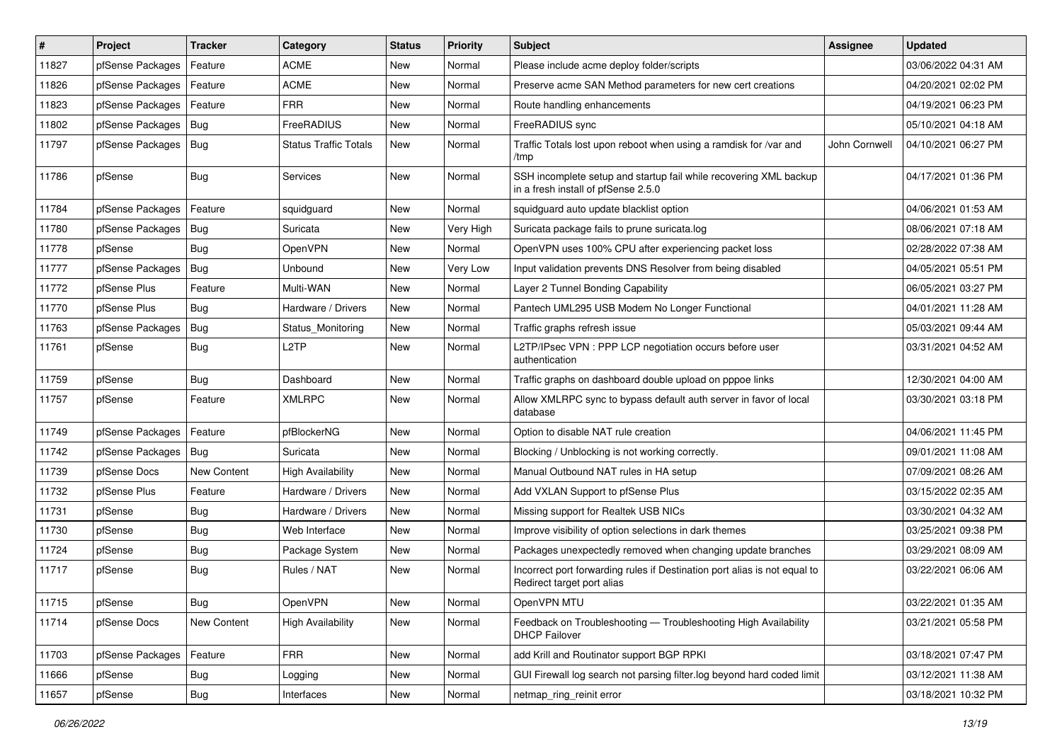| $\vert$ # | Project                | <b>Tracker</b>     | Category                     | <b>Status</b> | <b>Priority</b> | Subject                                                                                                  | <b>Assignee</b> | <b>Updated</b>      |
|-----------|------------------------|--------------------|------------------------------|---------------|-----------------|----------------------------------------------------------------------------------------------------------|-----------------|---------------------|
| 11827     | pfSense Packages       | Feature            | <b>ACME</b>                  | New           | Normal          | Please include acme deploy folder/scripts                                                                |                 | 03/06/2022 04:31 AM |
| 11826     | pfSense Packages       | Feature            | <b>ACME</b>                  | New           | Normal          | Preserve acme SAN Method parameters for new cert creations                                               |                 | 04/20/2021 02:02 PM |
| 11823     | pfSense Packages       | Feature            | <b>FRR</b>                   | New           | Normal          | Route handling enhancements                                                                              |                 | 04/19/2021 06:23 PM |
| 11802     | pfSense Packages   Bug |                    | FreeRADIUS                   | New           | Normal          | FreeRADIUS sync                                                                                          |                 | 05/10/2021 04:18 AM |
| 11797     | pfSense Packages   Bug |                    | <b>Status Traffic Totals</b> | New           | Normal          | Traffic Totals lost upon reboot when using a ramdisk for /var and<br>/tmp                                | John Cornwell   | 04/10/2021 06:27 PM |
| 11786     | pfSense                | Bug                | <b>Services</b>              | New           | Normal          | SSH incomplete setup and startup fail while recovering XML backup<br>in a fresh install of pfSense 2.5.0 |                 | 04/17/2021 01:36 PM |
| 11784     | pfSense Packages       | Feature            | squidguard                   | New           | Normal          | squidguard auto update blacklist option                                                                  |                 | 04/06/2021 01:53 AM |
| 11780     | pfSense Packages       | <b>Bug</b>         | Suricata                     | New           | Very High       | Suricata package fails to prune suricata.log                                                             |                 | 08/06/2021 07:18 AM |
| 11778     | pfSense                | <b>Bug</b>         | <b>OpenVPN</b>               | New           | Normal          | OpenVPN uses 100% CPU after experiencing packet loss                                                     |                 | 02/28/2022 07:38 AM |
| 11777     | pfSense Packages   Bug |                    | Unbound                      | New           | Very Low        | Input validation prevents DNS Resolver from being disabled                                               |                 | 04/05/2021 05:51 PM |
| 11772     | pfSense Plus           | Feature            | Multi-WAN                    | New           | Normal          | Layer 2 Tunnel Bonding Capability                                                                        |                 | 06/05/2021 03:27 PM |
| 11770     | pfSense Plus           | Bug                | Hardware / Drivers           | New           | Normal          | Pantech UML295 USB Modem No Longer Functional                                                            |                 | 04/01/2021 11:28 AM |
| 11763     | pfSense Packages       | <b>Bug</b>         | Status Monitoring            | New           | Normal          | Traffic graphs refresh issue                                                                             |                 | 05/03/2021 09:44 AM |
| 11761     | pfSense                | Bug                | L <sub>2</sub> TP            | New           | Normal          | L2TP/IPsec VPN : PPP LCP negotiation occurs before user<br>authentication                                |                 | 03/31/2021 04:52 AM |
| 11759     | pfSense                | Bug                | Dashboard                    | New           | Normal          | Traffic graphs on dashboard double upload on pppoe links                                                 |                 | 12/30/2021 04:00 AM |
| 11757     | pfSense                | Feature            | <b>XMLRPC</b>                | New           | Normal          | Allow XMLRPC sync to bypass default auth server in favor of local<br>database                            |                 | 03/30/2021 03:18 PM |
| 11749     | pfSense Packages       | Feature            | pfBlockerNG                  | New           | Normal          | Option to disable NAT rule creation                                                                      |                 | 04/06/2021 11:45 PM |
| 11742     | pfSense Packages       | Bug                | Suricata                     | New           | Normal          | Blocking / Unblocking is not working correctly.                                                          |                 | 09/01/2021 11:08 AM |
| 11739     | pfSense Docs           | <b>New Content</b> | <b>High Availability</b>     | New           | Normal          | Manual Outbound NAT rules in HA setup                                                                    |                 | 07/09/2021 08:26 AM |
| 11732     | pfSense Plus           | Feature            | Hardware / Drivers           | New           | Normal          | Add VXLAN Support to pfSense Plus                                                                        |                 | 03/15/2022 02:35 AM |
| 11731     | pfSense                | <b>Bug</b>         | Hardware / Drivers           | New           | Normal          | Missing support for Realtek USB NICs                                                                     |                 | 03/30/2021 04:32 AM |
| 11730     | pfSense                | Bug                | Web Interface                | New           | Normal          | Improve visibility of option selections in dark themes                                                   |                 | 03/25/2021 09:38 PM |
| 11724     | pfSense                | Bug                | Package System               | New           | Normal          | Packages unexpectedly removed when changing update branches                                              |                 | 03/29/2021 08:09 AM |
| 11717     | pfSense                | <b>Bug</b>         | Rules / NAT                  | New           | Normal          | Incorrect port forwarding rules if Destination port alias is not equal to<br>Redirect target port alias  |                 | 03/22/2021 06:06 AM |
| 11715     | pfSense                | Bug                | OpenVPN                      | New           | Normal          | OpenVPN MTU                                                                                              |                 | 03/22/2021 01:35 AM |
| 11714     | pfSense Docs           | New Content        | <b>High Availability</b>     | New           | Normal          | Feedback on Troubleshooting - Troubleshooting High Availability<br><b>DHCP Failover</b>                  |                 | 03/21/2021 05:58 PM |
| 11703     | pfSense Packages       | Feature            | FRR                          | New           | Normal          | add Krill and Routinator support BGP RPKI                                                                |                 | 03/18/2021 07:47 PM |
| 11666     | pfSense                | <b>Bug</b>         | Logging                      | New           | Normal          | GUI Firewall log search not parsing filter.log beyond hard coded limit                                   |                 | 03/12/2021 11:38 AM |
| 11657     | pfSense                | Bug                | Interfaces                   | New           | Normal          | netmap ring reinit error                                                                                 |                 | 03/18/2021 10:32 PM |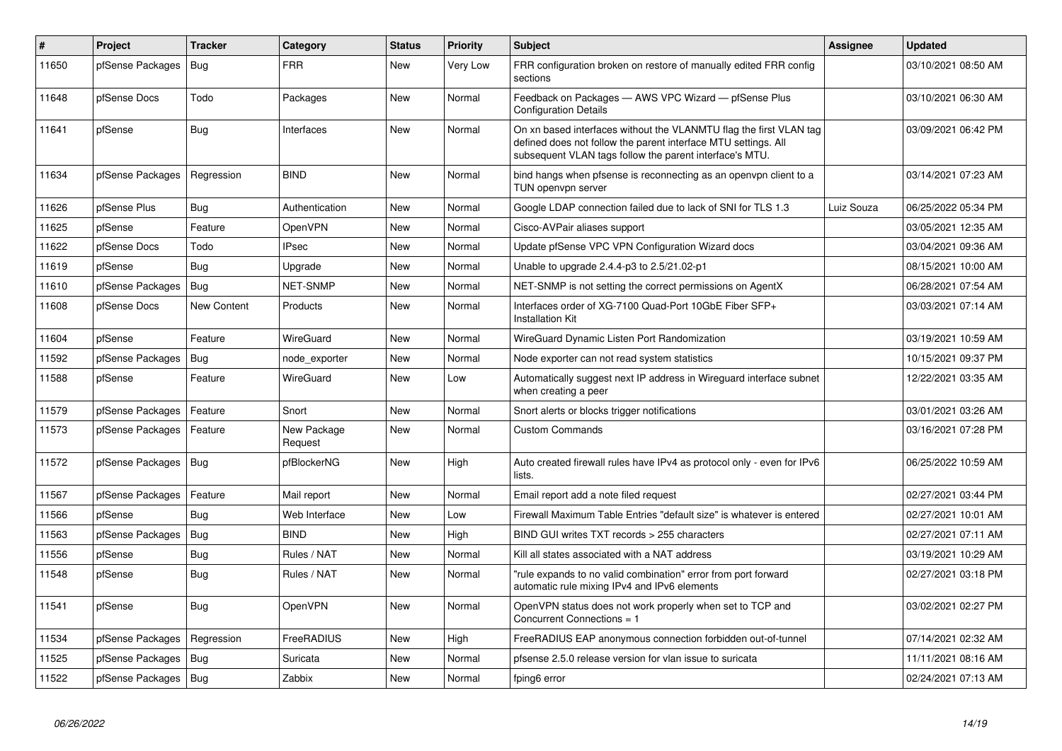| #     | Project                | <b>Tracker</b> | Category               | <b>Status</b> | <b>Priority</b> | <b>Subject</b>                                                                                                                                                                                  | Assignee   | <b>Updated</b>      |
|-------|------------------------|----------------|------------------------|---------------|-----------------|-------------------------------------------------------------------------------------------------------------------------------------------------------------------------------------------------|------------|---------------------|
| 11650 | pfSense Packages       | <b>Bug</b>     | <b>FRR</b>             | New           | Very Low        | FRR configuration broken on restore of manually edited FRR config<br>sections                                                                                                                   |            | 03/10/2021 08:50 AM |
| 11648 | pfSense Docs           | Todo           | Packages               | <b>New</b>    | Normal          | Feedback on Packages - AWS VPC Wizard - pfSense Plus<br><b>Configuration Details</b>                                                                                                            |            | 03/10/2021 06:30 AM |
| 11641 | pfSense                | <b>Bug</b>     | Interfaces             | New           | Normal          | On xn based interfaces without the VLANMTU flag the first VLAN tag<br>defined does not follow the parent interface MTU settings. All<br>subsequent VLAN tags follow the parent interface's MTU. |            | 03/09/2021 06:42 PM |
| 11634 | pfSense Packages       | Regression     | <b>BIND</b>            | <b>New</b>    | Normal          | bind hangs when pfsense is reconnecting as an openypn client to a<br>TUN openvpn server                                                                                                         |            | 03/14/2021 07:23 AM |
| 11626 | pfSense Plus           | Bug            | Authentication         | New           | Normal          | Google LDAP connection failed due to lack of SNI for TLS 1.3                                                                                                                                    | Luiz Souza | 06/25/2022 05:34 PM |
| 11625 | pfSense                | Feature        | OpenVPN                | New           | Normal          | Cisco-AVPair aliases support                                                                                                                                                                    |            | 03/05/2021 12:35 AM |
| 11622 | pfSense Docs           | Todo           | <b>IPsec</b>           | <b>New</b>    | Normal          | Update pfSense VPC VPN Configuration Wizard docs                                                                                                                                                |            | 03/04/2021 09:36 AM |
| 11619 | pfSense                | Bug            | Upgrade                | <b>New</b>    | Normal          | Unable to upgrade 2.4.4-p3 to 2.5/21.02-p1                                                                                                                                                      |            | 08/15/2021 10:00 AM |
| 11610 | pfSense Packages       | Bug            | <b>NET-SNMP</b>        | <b>New</b>    | Normal          | NET-SNMP is not setting the correct permissions on AgentX                                                                                                                                       |            | 06/28/2021 07:54 AM |
| 11608 | pfSense Docs           | New Content    | Products               | <b>New</b>    | Normal          | Interfaces order of XG-7100 Quad-Port 10GbE Fiber SFP+<br><b>Installation Kit</b>                                                                                                               |            | 03/03/2021 07:14 AM |
| 11604 | pfSense                | Feature        | WireGuard              | <b>New</b>    | Normal          | WireGuard Dynamic Listen Port Randomization                                                                                                                                                     |            | 03/19/2021 10:59 AM |
| 11592 | pfSense Packages       | Bug            | node_exporter          | New           | Normal          | Node exporter can not read system statistics                                                                                                                                                    |            | 10/15/2021 09:37 PM |
| 11588 | pfSense                | Feature        | WireGuard              | <b>New</b>    | Low             | Automatically suggest next IP address in Wireguard interface subnet<br>when creating a peer                                                                                                     |            | 12/22/2021 03:35 AM |
| 11579 | pfSense Packages       | Feature        | Snort                  | New           | Normal          | Snort alerts or blocks trigger notifications                                                                                                                                                    |            | 03/01/2021 03:26 AM |
| 11573 | pfSense Packages       | Feature        | New Package<br>Request | New           | Normal          | <b>Custom Commands</b>                                                                                                                                                                          |            | 03/16/2021 07:28 PM |
| 11572 | pfSense Packages   Bug |                | pfBlockerNG            | New           | High            | Auto created firewall rules have IPv4 as protocol only - even for IPv6<br>lists.                                                                                                                |            | 06/25/2022 10:59 AM |
| 11567 | pfSense Packages       | Feature        | Mail report            | New           | Normal          | Email report add a note filed request                                                                                                                                                           |            | 02/27/2021 03:44 PM |
| 11566 | pfSense                | Bug            | Web Interface          | <b>New</b>    | Low             | Firewall Maximum Table Entries "default size" is whatever is entered                                                                                                                            |            | 02/27/2021 10:01 AM |
| 11563 | pfSense Packages       | Bug            | <b>BIND</b>            | New           | High            | BIND GUI writes TXT records > 255 characters                                                                                                                                                    |            | 02/27/2021 07:11 AM |
| 11556 | pfSense                | <b>Bug</b>     | Rules / NAT            | <b>New</b>    | Normal          | Kill all states associated with a NAT address                                                                                                                                                   |            | 03/19/2021 10:29 AM |
| 11548 | pfSense                | <b>Bug</b>     | Rules / NAT            | <b>New</b>    | Normal          | "rule expands to no valid combination" error from port forward<br>automatic rule mixing IPv4 and IPv6 elements                                                                                  |            | 02/27/2021 03:18 PM |
| 11541 | pfSense                | <b>Bug</b>     | OpenVPN                | <b>New</b>    | Normal          | OpenVPN status does not work properly when set to TCP and<br>Concurrent Connections = 1                                                                                                         |            | 03/02/2021 02:27 PM |
| 11534 | pfSense Packages       | Regression     | FreeRADIUS             | New           | High            | FreeRADIUS EAP anonymous connection forbidden out-of-tunnel                                                                                                                                     |            | 07/14/2021 02:32 AM |
| 11525 | pfSense Packages       | Bug            | Suricata               | <b>New</b>    | Normal          | pfsense 2.5.0 release version for vlan issue to suricata                                                                                                                                        |            | 11/11/2021 08:16 AM |
| 11522 | pfSense Packages   Bug |                | Zabbix                 | New           | Normal          | fping6 error                                                                                                                                                                                    |            | 02/24/2021 07:13 AM |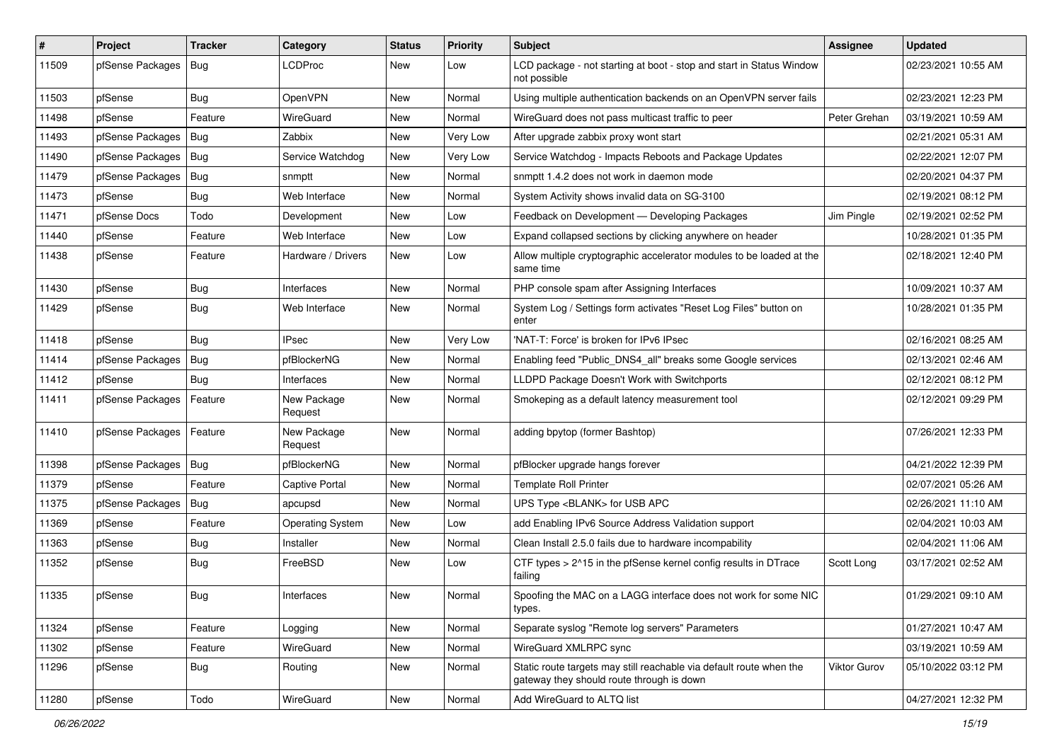| $\vert$ # | Project                | <b>Tracker</b> | Category                | <b>Status</b> | <b>Priority</b> | Subject                                                                                                          | <b>Assignee</b>     | <b>Updated</b>      |
|-----------|------------------------|----------------|-------------------------|---------------|-----------------|------------------------------------------------------------------------------------------------------------------|---------------------|---------------------|
| 11509     | pfSense Packages       | <b>Bug</b>     | <b>LCDProc</b>          | New           | Low             | LCD package - not starting at boot - stop and start in Status Window<br>not possible                             |                     | 02/23/2021 10:55 AM |
| 11503     | pfSense                | Bug            | OpenVPN                 | New           | Normal          | Using multiple authentication backends on an OpenVPN server fails                                                |                     | 02/23/2021 12:23 PM |
| 11498     | pfSense                | Feature        | WireGuard               | New           | Normal          | WireGuard does not pass multicast traffic to peer                                                                | Peter Grehan        | 03/19/2021 10:59 AM |
| 11493     | pfSense Packages       | <b>Bug</b>     | Zabbix                  | New           | Very Low        | After upgrade zabbix proxy wont start                                                                            |                     | 02/21/2021 05:31 AM |
| 11490     | pfSense Packages       | <b>Bug</b>     | Service Watchdog        | New           | Very Low        | Service Watchdog - Impacts Reboots and Package Updates                                                           |                     | 02/22/2021 12:07 PM |
| 11479     | pfSense Packages       | <b>Bug</b>     | snmptt                  | New           | Normal          | snmptt 1.4.2 does not work in daemon mode                                                                        |                     | 02/20/2021 04:37 PM |
| 11473     | pfSense                | Bug            | Web Interface           | New           | Normal          | System Activity shows invalid data on SG-3100                                                                    |                     | 02/19/2021 08:12 PM |
| 11471     | pfSense Docs           | Todo           | Development             | New           | Low             | Feedback on Development - Developing Packages                                                                    | Jim Pingle          | 02/19/2021 02:52 PM |
| 11440     | pfSense                | Feature        | Web Interface           | New           | Low             | Expand collapsed sections by clicking anywhere on header                                                         |                     | 10/28/2021 01:35 PM |
| 11438     | pfSense                | Feature        | Hardware / Drivers      | New           | Low             | Allow multiple cryptographic accelerator modules to be loaded at the<br>same time                                |                     | 02/18/2021 12:40 PM |
| 11430     | pfSense                | Bug            | Interfaces              | New           | Normal          | PHP console spam after Assigning Interfaces                                                                      |                     | 10/09/2021 10:37 AM |
| 11429     | pfSense                | Bug            | Web Interface           | New           | Normal          | System Log / Settings form activates "Reset Log Files" button on<br>enter                                        |                     | 10/28/2021 01:35 PM |
| 11418     | pfSense                | Bug            | <b>IPsec</b>            | New           | Very Low        | 'NAT-T: Force' is broken for IPv6 IPsec                                                                          |                     | 02/16/2021 08:25 AM |
| 11414     | pfSense Packages       | Bug            | pfBlockerNG             | New           | Normal          | Enabling feed "Public_DNS4_all" breaks some Google services                                                      |                     | 02/13/2021 02:46 AM |
| 11412     | pfSense                | Bug            | Interfaces              | New           | Normal          | LLDPD Package Doesn't Work with Switchports                                                                      |                     | 02/12/2021 08:12 PM |
| 11411     | pfSense Packages       | Feature        | New Package<br>Request  | New           | Normal          | Smokeping as a default latency measurement tool                                                                  |                     | 02/12/2021 09:29 PM |
| 11410     | pfSense Packages       | Feature        | New Package<br>Request  | New           | Normal          | adding bpytop (former Bashtop)                                                                                   |                     | 07/26/2021 12:33 PM |
| 11398     | pfSense Packages   Bug |                | pfBlockerNG             | New           | Normal          | pfBlocker upgrade hangs forever                                                                                  |                     | 04/21/2022 12:39 PM |
| 11379     | pfSense                | Feature        | <b>Captive Portal</b>   | New           | Normal          | <b>Template Roll Printer</b>                                                                                     |                     | 02/07/2021 05:26 AM |
| 11375     | pfSense Packages       | Bug            | apcupsd                 | New           | Normal          | UPS Type <blank> for USB APC</blank>                                                                             |                     | 02/26/2021 11:10 AM |
| 11369     | pfSense                | Feature        | <b>Operating System</b> | New           | Low             | add Enabling IPv6 Source Address Validation support                                                              |                     | 02/04/2021 10:03 AM |
| 11363     | pfSense                | Bug            | Installer               | New           | Normal          | Clean Install 2.5.0 fails due to hardware incompability                                                          |                     | 02/04/2021 11:06 AM |
| 11352     | pfSense                | <b>Bug</b>     | FreeBSD                 | New           | Low             | CTF types > 2^15 in the pfSense kernel config results in DTrace<br>failing                                       | Scott Long          | 03/17/2021 02:52 AM |
| 11335     | pfSense                | Bug            | Interfaces              | New           | Normal          | Spoofing the MAC on a LAGG interface does not work for some NIC<br>types.                                        |                     | 01/29/2021 09:10 AM |
| 11324     | pfSense                | Feature        | Logging                 | New           | Normal          | Separate syslog "Remote log servers" Parameters                                                                  |                     | 01/27/2021 10:47 AM |
| 11302     | pfSense                | Feature        | WireGuard               | New           | Normal          | WireGuard XMLRPC sync                                                                                            |                     | 03/19/2021 10:59 AM |
| 11296     | pfSense                | <b>Bug</b>     | Routing                 | New           | Normal          | Static route targets may still reachable via default route when the<br>gateway they should route through is down | <b>Viktor Gurov</b> | 05/10/2022 03:12 PM |
| 11280     | pfSense                | Todo           | WireGuard               | New           | Normal          | Add WireGuard to ALTQ list                                                                                       |                     | 04/27/2021 12:32 PM |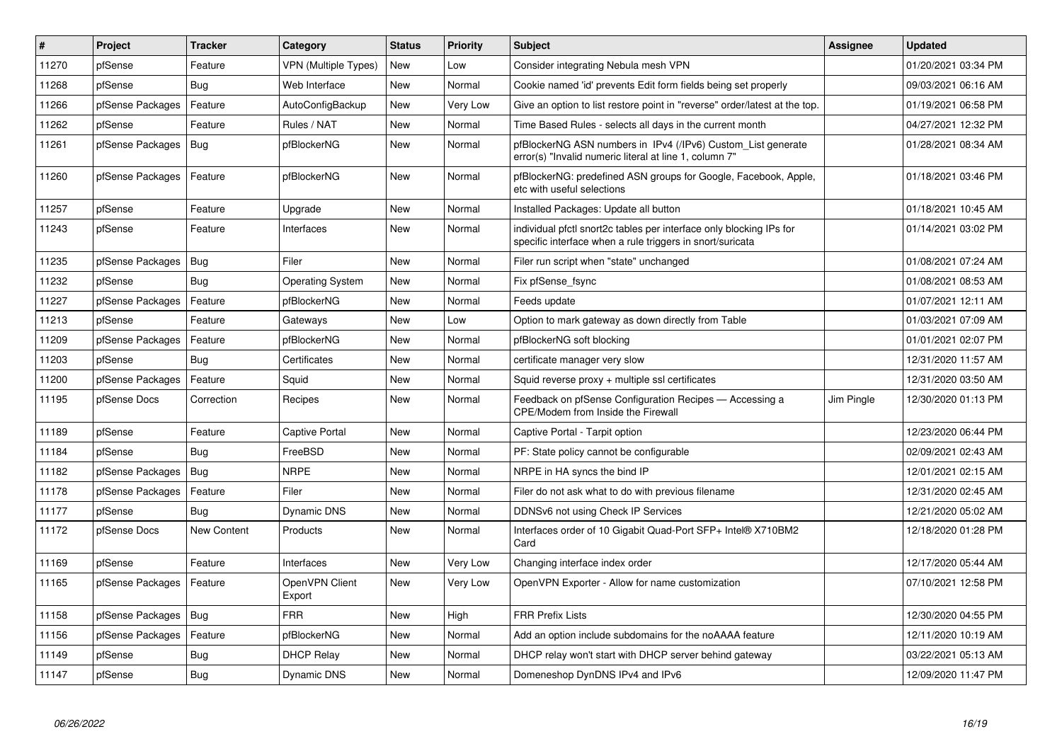| #     | Project          | <b>Tracker</b>     | Category                 | <b>Status</b> | <b>Priority</b> | <b>Subject</b>                                                                                                                   | <b>Assignee</b> | <b>Updated</b>      |
|-------|------------------|--------------------|--------------------------|---------------|-----------------|----------------------------------------------------------------------------------------------------------------------------------|-----------------|---------------------|
| 11270 | pfSense          | Feature            | VPN (Multiple Types)     | <b>New</b>    | Low             | Consider integrating Nebula mesh VPN                                                                                             |                 | 01/20/2021 03:34 PM |
| 11268 | pfSense          | Bug                | Web Interface            | New           | Normal          | Cookie named 'id' prevents Edit form fields being set properly                                                                   |                 | 09/03/2021 06:16 AM |
| 11266 | pfSense Packages | Feature            | AutoConfigBackup         | New           | Very Low        | Give an option to list restore point in "reverse" order/latest at the top.                                                       |                 | 01/19/2021 06:58 PM |
| 11262 | pfSense          | Feature            | Rules / NAT              | <b>New</b>    | Normal          | Time Based Rules - selects all days in the current month                                                                         |                 | 04/27/2021 12:32 PM |
| 11261 | pfSense Packages | <b>Bug</b>         | pfBlockerNG              | New           | Normal          | pfBlockerNG ASN numbers in IPv4 (/IPv6) Custom List generate<br>error(s) "Invalid numeric literal at line 1, column 7"           |                 | 01/28/2021 08:34 AM |
| 11260 | pfSense Packages | Feature            | pfBlockerNG              | <b>New</b>    | Normal          | pfBlockerNG: predefined ASN groups for Google, Facebook, Apple,<br>etc with useful selections                                    |                 | 01/18/2021 03:46 PM |
| 11257 | pfSense          | Feature            | Upgrade                  | New           | Normal          | Installed Packages: Update all button                                                                                            |                 | 01/18/2021 10:45 AM |
| 11243 | pfSense          | Feature            | Interfaces               | New           | Normal          | individual pfctl snort2c tables per interface only blocking IPs for<br>specific interface when a rule triggers in snort/suricata |                 | 01/14/2021 03:02 PM |
| 11235 | pfSense Packages | Bug                | Filer                    | New           | Normal          | Filer run script when "state" unchanged                                                                                          |                 | 01/08/2021 07:24 AM |
| 11232 | pfSense          | Bug                | <b>Operating System</b>  | New           | Normal          | Fix pfSense fsync                                                                                                                |                 | 01/08/2021 08:53 AM |
| 11227 | pfSense Packages | Feature            | pfBlockerNG              | <b>New</b>    | Normal          | Feeds update                                                                                                                     |                 | 01/07/2021 12:11 AM |
| 11213 | pfSense          | Feature            | Gateways                 | New           | Low             | Option to mark gateway as down directly from Table                                                                               |                 | 01/03/2021 07:09 AM |
| 11209 | pfSense Packages | Feature            | pfBlockerNG              | New           | Normal          | pfBlockerNG soft blocking                                                                                                        |                 | 01/01/2021 02:07 PM |
| 11203 | pfSense          | <b>Bug</b>         | Certificates             | New           | Normal          | certificate manager very slow                                                                                                    |                 | 12/31/2020 11:57 AM |
| 11200 | pfSense Packages | Feature            | Squid                    | New           | Normal          | Squid reverse proxy + multiple ssl certificates                                                                                  |                 | 12/31/2020 03:50 AM |
| 11195 | pfSense Docs     | Correction         | Recipes                  | New           | Normal          | Feedback on pfSense Configuration Recipes - Accessing a<br><b>CPE/Modem from Inside the Firewall</b>                             | Jim Pingle      | 12/30/2020 01:13 PM |
| 11189 | pfSense          | Feature            | <b>Captive Portal</b>    | New           | Normal          | Captive Portal - Tarpit option                                                                                                   |                 | 12/23/2020 06:44 PM |
| 11184 | pfSense          | Bug                | FreeBSD                  | New           | Normal          | PF: State policy cannot be configurable                                                                                          |                 | 02/09/2021 02:43 AM |
| 11182 | pfSense Packages | <b>Bug</b>         | <b>NRPE</b>              | New           | Normal          | NRPE in HA syncs the bind IP                                                                                                     |                 | 12/01/2021 02:15 AM |
| 11178 | pfSense Packages | Feature            | Filer                    | New           | Normal          | Filer do not ask what to do with previous filename                                                                               |                 | 12/31/2020 02:45 AM |
| 11177 | pfSense          | <b>Bug</b>         | <b>Dynamic DNS</b>       | New           | Normal          | DDNSv6 not using Check IP Services                                                                                               |                 | 12/21/2020 05:02 AM |
| 11172 | pfSense Docs     | <b>New Content</b> | Products                 | New           | Normal          | Interfaces order of 10 Gigabit Quad-Port SFP+ Intel® X710BM2<br>Card                                                             |                 | 12/18/2020 01:28 PM |
| 11169 | pfSense          | Feature            | Interfaces               | New           | Very Low        | Changing interface index order                                                                                                   |                 | 12/17/2020 05:44 AM |
| 11165 | pfSense Packages | Feature            | OpenVPN Client<br>Export | New           | Very Low        | OpenVPN Exporter - Allow for name customization                                                                                  |                 | 07/10/2021 12:58 PM |
| 11158 | pfSense Packages | <b>Bug</b>         | <b>FRR</b>               | New           | High            | <b>FRR Prefix Lists</b>                                                                                                          |                 | 12/30/2020 04:55 PM |
| 11156 | pfSense Packages | Feature            | pfBlockerNG              | New           | Normal          | Add an option include subdomains for the noAAAA feature                                                                          |                 | 12/11/2020 10:19 AM |
| 11149 | pfSense          | Bug                | <b>DHCP Relay</b>        | New           | Normal          | DHCP relay won't start with DHCP server behind gateway                                                                           |                 | 03/22/2021 05:13 AM |
| 11147 | pfSense          | <b>Bug</b>         | <b>Dynamic DNS</b>       | <b>New</b>    | Normal          | Domeneshop DynDNS IPv4 and IPv6                                                                                                  |                 | 12/09/2020 11:47 PM |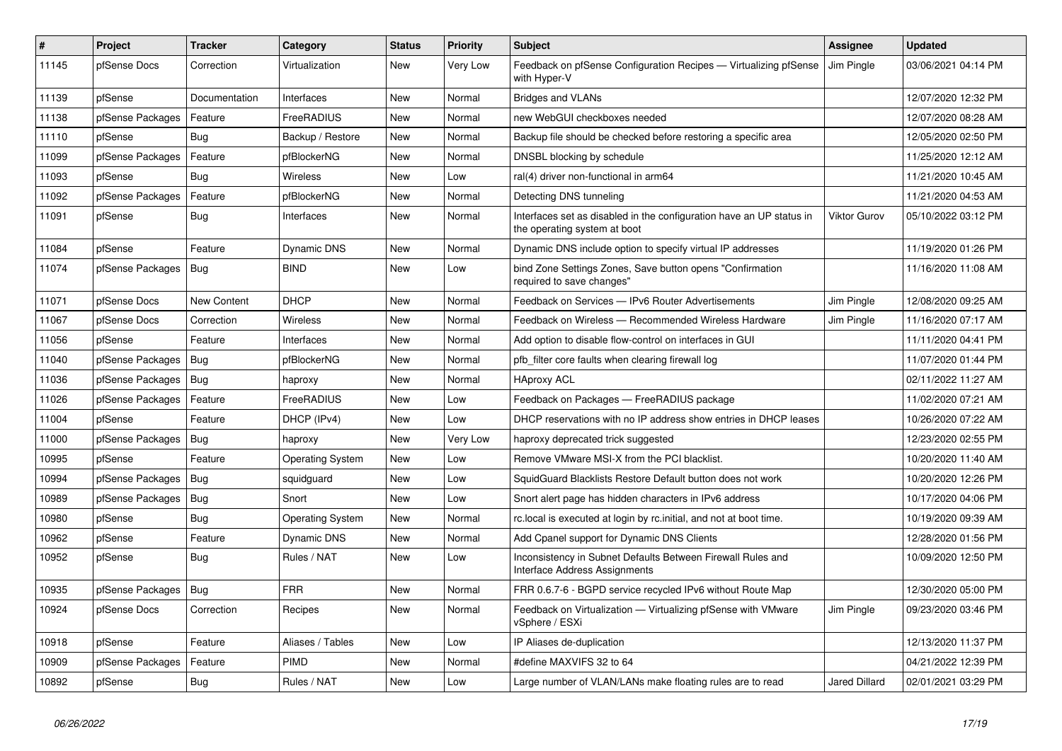| $\vert$ # | <b>Project</b>   | <b>Tracker</b> | Category                | <b>Status</b> | Priority | <b>Subject</b>                                                                                       | <b>Assignee</b>      | <b>Updated</b>      |
|-----------|------------------|----------------|-------------------------|---------------|----------|------------------------------------------------------------------------------------------------------|----------------------|---------------------|
| 11145     | pfSense Docs     | Correction     | Virtualization          | New           | Very Low | Feedback on pfSense Configuration Recipes — Virtualizing pfSense<br>with Hyper-V                     | Jim Pingle           | 03/06/2021 04:14 PM |
| 11139     | pfSense          | Documentation  | Interfaces              | New           | Normal   | <b>Bridges and VLANs</b>                                                                             |                      | 12/07/2020 12:32 PM |
| 11138     | pfSense Packages | Feature        | FreeRADIUS              | New           | Normal   | new WebGUI checkboxes needed                                                                         |                      | 12/07/2020 08:28 AM |
| 11110     | pfSense          | Bug            | Backup / Restore        | New           | Normal   | Backup file should be checked before restoring a specific area                                       |                      | 12/05/2020 02:50 PM |
| 11099     | pfSense Packages | Feature        | pfBlockerNG             | New           | Normal   | DNSBL blocking by schedule                                                                           |                      | 11/25/2020 12:12 AM |
| 11093     | pfSense          | Bug            | Wireless                | New           | Low      | ral(4) driver non-functional in arm64                                                                |                      | 11/21/2020 10:45 AM |
| 11092     | pfSense Packages | Feature        | pfBlockerNG             | New           | Normal   | Detecting DNS tunneling                                                                              |                      | 11/21/2020 04:53 AM |
| 11091     | pfSense          | <b>Bug</b>     | Interfaces              | <b>New</b>    | Normal   | Interfaces set as disabled in the configuration have an UP status in<br>the operating system at boot | <b>Viktor Gurov</b>  | 05/10/2022 03:12 PM |
| 11084     | pfSense          | Feature        | Dynamic DNS             | New           | Normal   | Dynamic DNS include option to specify virtual IP addresses                                           |                      | 11/19/2020 01:26 PM |
| 11074     | pfSense Packages | Bug            | <b>BIND</b>             | New           | Low      | bind Zone Settings Zones, Save button opens "Confirmation<br>required to save changes"               |                      | 11/16/2020 11:08 AM |
| 11071     | pfSense Docs     | New Content    | <b>DHCP</b>             | New           | Normal   | Feedback on Services - IPv6 Router Advertisements                                                    | Jim Pingle           | 12/08/2020 09:25 AM |
| 11067     | pfSense Docs     | Correction     | <b>Wireless</b>         | New           | Normal   | Feedback on Wireless - Recommended Wireless Hardware                                                 | Jim Pingle           | 11/16/2020 07:17 AM |
| 11056     | pfSense          | Feature        | Interfaces              | New           | Normal   | Add option to disable flow-control on interfaces in GUI                                              |                      | 11/11/2020 04:41 PM |
| 11040     | pfSense Packages | Bug            | pfBlockerNG             | New           | Normal   | pfb filter core faults when clearing firewall log                                                    |                      | 11/07/2020 01:44 PM |
| 11036     | pfSense Packages | <b>Bug</b>     | haproxy                 | <b>New</b>    | Normal   | <b>HAproxy ACL</b>                                                                                   |                      | 02/11/2022 11:27 AM |
| 11026     | pfSense Packages | Feature        | FreeRADIUS              | New           | Low      | Feedback on Packages - FreeRADIUS package                                                            |                      | 11/02/2020 07:21 AM |
| 11004     | pfSense          | Feature        | DHCP (IPv4)             | New           | Low      | DHCP reservations with no IP address show entries in DHCP leases                                     |                      | 10/26/2020 07:22 AM |
| 11000     | pfSense Packages | <b>Bug</b>     | haproxy                 | New           | Very Low | haproxy deprecated trick suggested                                                                   |                      | 12/23/2020 02:55 PM |
| 10995     | pfSense          | Feature        | <b>Operating System</b> | New           | Low      | Remove VMware MSI-X from the PCI blacklist.                                                          |                      | 10/20/2020 11:40 AM |
| 10994     | pfSense Packages | Bug            | squidguard              | New           | Low      | SquidGuard Blacklists Restore Default button does not work                                           |                      | 10/20/2020 12:26 PM |
| 10989     | pfSense Packages | Bug            | Snort                   | New           | Low      | Snort alert page has hidden characters in IPv6 address                                               |                      | 10/17/2020 04:06 PM |
| 10980     | pfSense          | <b>Bug</b>     | <b>Operating System</b> | New           | Normal   | rc.local is executed at login by rc.initial, and not at boot time.                                   |                      | 10/19/2020 09:39 AM |
| 10962     | pfSense          | Feature        | <b>Dynamic DNS</b>      | New           | Normal   | Add Cpanel support for Dynamic DNS Clients                                                           |                      | 12/28/2020 01:56 PM |
| 10952     | pfSense          | <b>Bug</b>     | Rules / NAT             | New           | Low      | Inconsistency in Subnet Defaults Between Firewall Rules and<br>Interface Address Assignments         |                      | 10/09/2020 12:50 PM |
| 10935     | pfSense Packages | <b>Bug</b>     | <b>FRR</b>              | New           | Normal   | FRR 0.6.7-6 - BGPD service recycled IPv6 without Route Map                                           |                      | 12/30/2020 05:00 PM |
| 10924     | pfSense Docs     | Correction     | Recipes                 | New           | Normal   | Feedback on Virtualization - Virtualizing pfSense with VMware<br>vSphere / ESXi                      | Jim Pingle           | 09/23/2020 03:46 PM |
| 10918     | pfSense          | Feature        | Aliases / Tables        | New           | Low      | IP Aliases de-duplication                                                                            |                      | 12/13/2020 11:37 PM |
| 10909     | pfSense Packages | Feature        | <b>PIMD</b>             | New           | Normal   | #define MAXVIFS 32 to 64                                                                             |                      | 04/21/2022 12:39 PM |
| 10892     | pfSense          | Bug            | Rules / NAT             | <b>New</b>    | Low      | Large number of VLAN/LANs make floating rules are to read                                            | <b>Jared Dillard</b> | 02/01/2021 03:29 PM |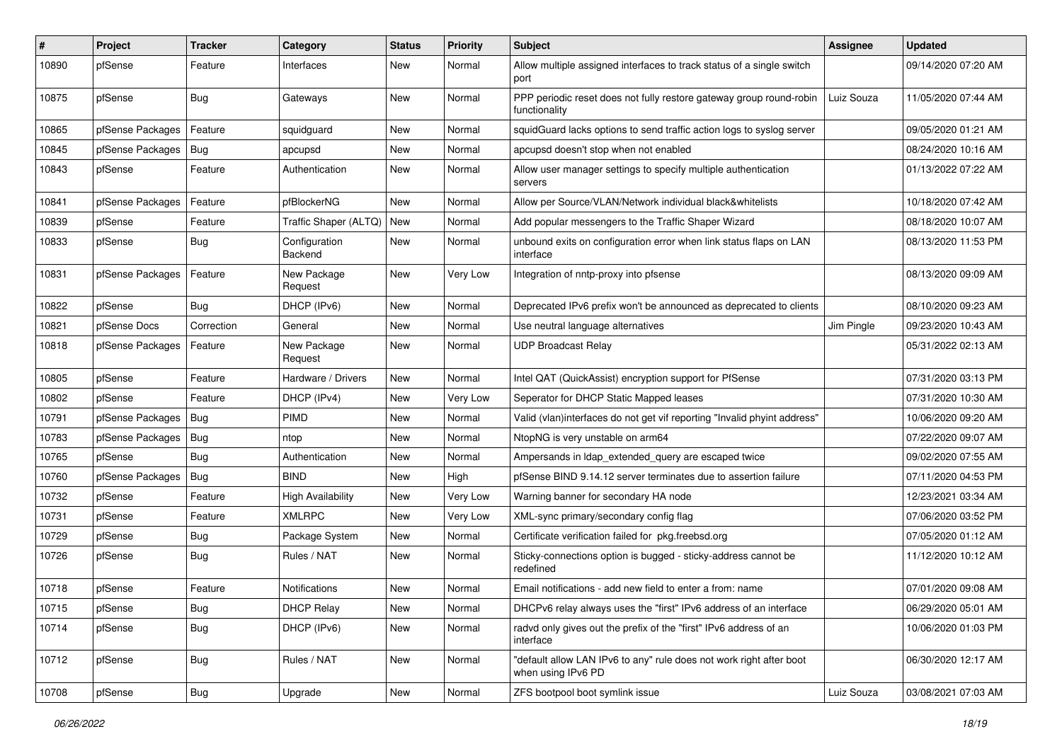| #     | Project          | <b>Tracker</b> | Category                 | <b>Status</b> | <b>Priority</b> | <b>Subject</b>                                                                            | Assignee   | <b>Updated</b>      |
|-------|------------------|----------------|--------------------------|---------------|-----------------|-------------------------------------------------------------------------------------------|------------|---------------------|
| 10890 | pfSense          | Feature        | Interfaces               | New           | Normal          | Allow multiple assigned interfaces to track status of a single switch<br>port             |            | 09/14/2020 07:20 AM |
| 10875 | pfSense          | <b>Bug</b>     | Gateways                 | New           | Normal          | PPP periodic reset does not fully restore gateway group round-robin<br>functionality      | Luiz Souza | 11/05/2020 07:44 AM |
| 10865 | pfSense Packages | Feature        | squidguard               | New           | Normal          | squidGuard lacks options to send traffic action logs to syslog server                     |            | 09/05/2020 01:21 AM |
| 10845 | pfSense Packages | <b>Bug</b>     | apcupsd                  | New           | Normal          | apcupsd doesn't stop when not enabled                                                     |            | 08/24/2020 10:16 AM |
| 10843 | pfSense          | Feature        | Authentication           | New           | Normal          | Allow user manager settings to specify multiple authentication<br>servers                 |            | 01/13/2022 07:22 AM |
| 10841 | pfSense Packages | Feature        | pfBlockerNG              | New           | Normal          | Allow per Source/VLAN/Network individual black&whitelists                                 |            | 10/18/2020 07:42 AM |
| 10839 | pfSense          | Feature        | Traffic Shaper (ALTQ)    | <b>New</b>    | Normal          | Add popular messengers to the Traffic Shaper Wizard                                       |            | 08/18/2020 10:07 AM |
| 10833 | pfSense          | Bug            | Configuration<br>Backend | New           | Normal          | unbound exits on configuration error when link status flaps on LAN<br>interface           |            | 08/13/2020 11:53 PM |
| 10831 | pfSense Packages | Feature        | New Package<br>Request   | New           | Very Low        | Integration of nntp-proxy into pfsense                                                    |            | 08/13/2020 09:09 AM |
| 10822 | pfSense          | <b>Bug</b>     | DHCP (IPv6)              | New           | Normal          | Deprecated IPv6 prefix won't be announced as deprecated to clients                        |            | 08/10/2020 09:23 AM |
| 10821 | pfSense Docs     | Correction     | General                  | <b>New</b>    | Normal          | Use neutral language alternatives                                                         | Jim Pingle | 09/23/2020 10:43 AM |
| 10818 | pfSense Packages | Feature        | New Package<br>Request   | New           | Normal          | <b>UDP Broadcast Relay</b>                                                                |            | 05/31/2022 02:13 AM |
| 10805 | pfSense          | Feature        | Hardware / Drivers       | New           | Normal          | Intel QAT (QuickAssist) encryption support for PfSense                                    |            | 07/31/2020 03:13 PM |
| 10802 | pfSense          | Feature        | DHCP (IPv4)              | New           | Very Low        | Seperator for DHCP Static Mapped leases                                                   |            | 07/31/2020 10:30 AM |
| 10791 | pfSense Packages | Bug            | <b>PIMD</b>              | New           | Normal          | Valid (vlan)interfaces do not get vif reporting "Invalid phyint address"                  |            | 10/06/2020 09:20 AM |
| 10783 | pfSense Packages | <b>Bug</b>     | ntop                     | New           | Normal          | NtopNG is very unstable on arm64                                                          |            | 07/22/2020 09:07 AM |
| 10765 | pfSense          | <b>Bug</b>     | Authentication           | New           | Normal          | Ampersands in Idap extended query are escaped twice                                       |            | 09/02/2020 07:55 AM |
| 10760 | pfSense Packages | Bug            | <b>BIND</b>              | New           | High            | pfSense BIND 9.14.12 server terminates due to assertion failure                           |            | 07/11/2020 04:53 PM |
| 10732 | pfSense          | Feature        | <b>High Availability</b> | New           | Very Low        | Warning banner for secondary HA node                                                      |            | 12/23/2021 03:34 AM |
| 10731 | pfSense          | Feature        | <b>XMLRPC</b>            | <b>New</b>    | Very Low        | XML-sync primary/secondary config flag                                                    |            | 07/06/2020 03:52 PM |
| 10729 | pfSense          | <b>Bug</b>     | Package System           | New           | Normal          | Certificate verification failed for pkg.freebsd.org                                       |            | 07/05/2020 01:12 AM |
| 10726 | pfSense          | <b>Bug</b>     | Rules / NAT              | New           | Normal          | Sticky-connections option is bugged - sticky-address cannot be<br>redefined               |            | 11/12/2020 10:12 AM |
| 10718 | pfSense          | Feature        | <b>Notifications</b>     | New           | Normal          | Email notifications - add new field to enter a from: name                                 |            | 07/01/2020 09:08 AM |
| 10715 | pfSense          | Bug            | <b>DHCP Relay</b>        | New           | Normal          | DHCPv6 relay always uses the "first" IPv6 address of an interface                         |            | 06/29/2020 05:01 AM |
| 10714 | pfSense          | <b>Bug</b>     | DHCP (IPv6)              | New           | Normal          | radvd only gives out the prefix of the "first" IPv6 address of an<br>interface            |            | 10/06/2020 01:03 PM |
| 10712 | pfSense          | Bug            | Rules / NAT              | New           | Normal          | "default allow LAN IPv6 to any" rule does not work right after boot<br>when using IPv6 PD |            | 06/30/2020 12:17 AM |
| 10708 | pfSense          | Bug            | Upgrade                  | New           | Normal          | ZFS bootpool boot symlink issue                                                           | Luiz Souza | 03/08/2021 07:03 AM |